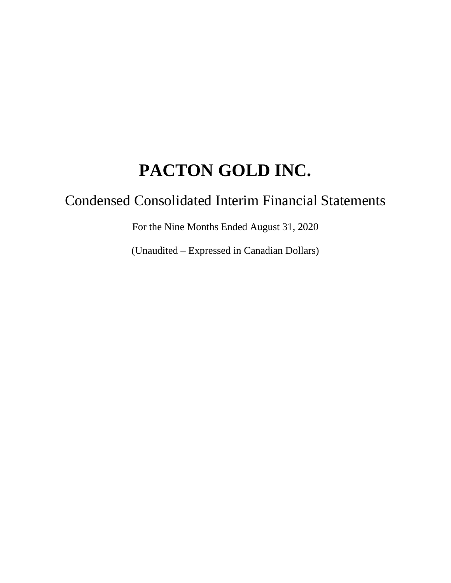# Condensed Consolidated Interim Financial Statements

For the Nine Months Ended August 31, 2020

(Unaudited – Expressed in Canadian Dollars)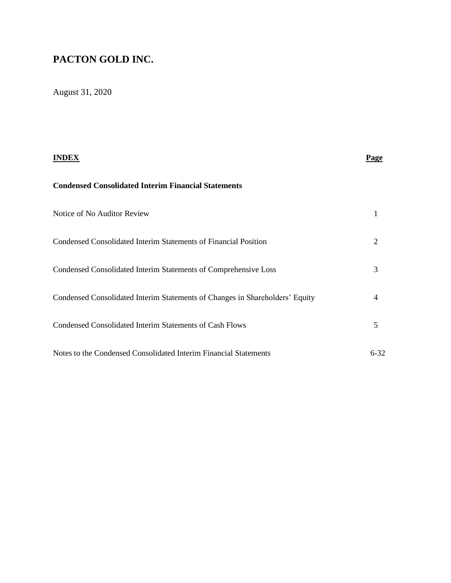# August 31, 2020

| INDEX                                                                        | Page     |
|------------------------------------------------------------------------------|----------|
| <b>Condensed Consolidated Interim Financial Statements</b>                   |          |
| Notice of No Auditor Review                                                  | 1        |
| Condensed Consolidated Interim Statements of Financial Position              | 2        |
| Condensed Consolidated Interim Statements of Comprehensive Loss              | 3        |
| Condensed Consolidated Interim Statements of Changes in Shareholders' Equity | 4        |
| <b>Condensed Consolidated Interim Statements of Cash Flows</b>               | 5        |
| Notes to the Condensed Consolidated Interim Financial Statements             | $6 - 32$ |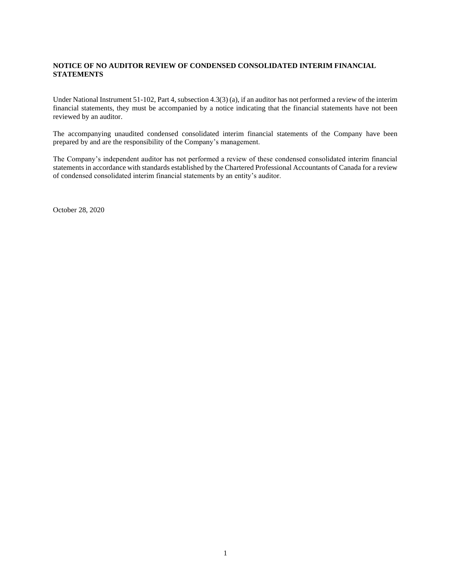#### **NOTICE OF NO AUDITOR REVIEW OF CONDENSED CONSOLIDATED INTERIM FINANCIAL STATEMENTS**

Under National Instrument 51-102, Part 4, subsection 4.3(3) (a), if an auditor has not performed a review of the interim financial statements, they must be accompanied by a notice indicating that the financial statements have not been reviewed by an auditor.

The accompanying unaudited condensed consolidated interim financial statements of the Company have been prepared by and are the responsibility of the Company's management.

The Company's independent auditor has not performed a review of these condensed consolidated interim financial statements in accordance with standards established by the Chartered Professional Accountants of Canada for a review of condensed consolidated interim financial statements by an entity's auditor.

October 28, 2020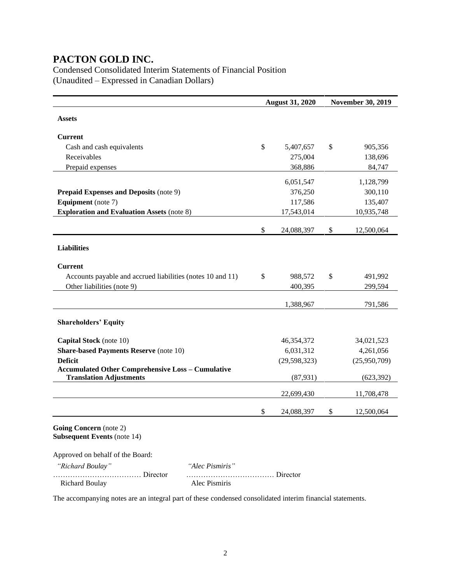Condensed Consolidated Interim Statements of Financial Position (Unaudited – Expressed in Canadian Dollars)

|                                                            |                 | <b>August 31, 2020</b> | <b>November 30, 2019</b> |
|------------------------------------------------------------|-----------------|------------------------|--------------------------|
| <b>Assets</b>                                              |                 |                        |                          |
|                                                            |                 |                        |                          |
| <b>Current</b>                                             |                 |                        |                          |
| Cash and cash equivalents                                  |                 | \$<br>5,407,657        | \$<br>905,356            |
| Receivables                                                |                 | 275,004                | 138,696                  |
| Prepaid expenses                                           |                 | 368,886                | 84,747                   |
|                                                            |                 | 6,051,547              | 1,128,799                |
| <b>Prepaid Expenses and Deposits (note 9)</b>              |                 | 376,250                | 300,110                  |
| <b>Equipment</b> (note 7)                                  |                 | 117,586                | 135,407                  |
| <b>Exploration and Evaluation Assets (note 8)</b>          |                 | 17,543,014             | 10,935,748               |
|                                                            |                 |                        |                          |
|                                                            |                 | \$<br>24,088,397       | \$<br>12,500,064         |
|                                                            |                 |                        |                          |
| <b>Liabilities</b>                                         |                 |                        |                          |
| <b>Current</b>                                             |                 |                        |                          |
| Accounts payable and accrued liabilities (notes 10 and 11) |                 | \$<br>988,572          | \$<br>491,992            |
| Other liabilities (note 9)                                 |                 | 400,395                | 299,594                  |
|                                                            |                 |                        |                          |
|                                                            |                 | 1,388,967              | 791,586                  |
|                                                            |                 |                        |                          |
| <b>Shareholders' Equity</b>                                |                 |                        |                          |
| Capital Stock (note 10)                                    |                 | 46,354,372             | 34,021,523               |
| <b>Share-based Payments Reserve (note 10)</b>              |                 | 6,031,312              | 4,261,056                |
| <b>Deficit</b>                                             |                 | (29, 598, 323)         | (25,950,709)             |
| <b>Accumulated Other Comprehensive Loss - Cumulative</b>   |                 |                        |                          |
| <b>Translation Adjustments</b>                             |                 | (87, 931)              | (623, 392)               |
|                                                            |                 | 22,699,430             | 11,708,478               |
|                                                            |                 | \$<br>24,088,397       | \$<br>12,500,064         |
| Going Concern (note 2)                                     |                 |                        |                          |
| <b>Subsequent Events (note 14)</b>                         |                 |                        |                          |
| Approved on behalf of the Board:                           |                 |                        |                          |
| "Richard Boulay"                                           | "Alec Pismiris" |                        |                          |
| Director<br><b>Richard Boulay</b>                          | Alec Pismiris   | $\ldots$ Director      |                          |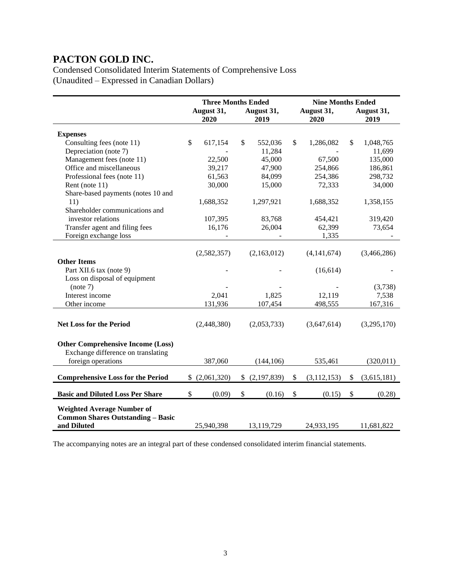Condensed Consolidated Interim Statements of Comprehensive Loss (Unaudited – Expressed in Canadian Dollars)

|                                                          |                          | <b>Three Months Ended</b>     |                     | <b>Nine Months Ended</b> |  |  |  |
|----------------------------------------------------------|--------------------------|-------------------------------|---------------------|--------------------------|--|--|--|
|                                                          | August 31,<br>2020       | August 31,<br>2019            | August 31,<br>2020  | August 31,<br>2019       |  |  |  |
| <b>Expenses</b>                                          |                          |                               |                     |                          |  |  |  |
| Consulting fees (note 11)                                | \$<br>617,154            | \$<br>552,036                 | \$<br>1,286,082     | \$<br>1,048,765          |  |  |  |
| Depreciation (note 7)                                    |                          | 11,284                        |                     | 11,699                   |  |  |  |
| Management fees (note 11)                                | 22,500                   | 45,000                        | 67,500              | 135,000                  |  |  |  |
| Office and miscellaneous                                 | 39,217                   | 47,900                        | 254,866             | 186,861                  |  |  |  |
| Professional fees (note 11)                              | 61,563                   | 84,099                        | 254,386             | 298,732                  |  |  |  |
| Rent (note 11)                                           | 30,000                   | 15,000                        | 72,333              | 34,000                   |  |  |  |
| Share-based payments (notes 10 and                       |                          |                               |                     |                          |  |  |  |
| 11)                                                      | 1,688,352                | 1,297,921                     | 1,688,352           | 1,358,155                |  |  |  |
| Shareholder communications and                           |                          |                               |                     |                          |  |  |  |
| investor relations                                       | 107,395                  | 83,768                        | 454,421             | 319,420                  |  |  |  |
| Transfer agent and filing fees                           | 16,176                   | 26,004                        | 62,399              | 73,654                   |  |  |  |
| Foreign exchange loss                                    | $\overline{\phantom{a}}$ |                               | 1,335               |                          |  |  |  |
|                                                          |                          |                               |                     |                          |  |  |  |
|                                                          | (2,582,357)              | (2,163,012)                   | (4, 141, 674)       | (3,466,286)              |  |  |  |
| <b>Other Items</b>                                       |                          |                               |                     |                          |  |  |  |
| Part XII.6 tax (note 9)                                  |                          |                               | (16, 614)           |                          |  |  |  |
| Loss on disposal of equipment                            |                          |                               |                     |                          |  |  |  |
| (note 7)                                                 |                          |                               |                     | (3,738)                  |  |  |  |
| Interest income                                          | 2,041                    | 1,825                         | 12,119              | 7,538                    |  |  |  |
| Other income                                             | 131,936                  | 107,454                       | 498,555             | 167,316                  |  |  |  |
|                                                          |                          |                               |                     |                          |  |  |  |
| <b>Net Loss for the Period</b>                           | (2,448,380)              | (2,053,733)                   | (3,647,614)         | (3,295,170)              |  |  |  |
|                                                          |                          |                               |                     |                          |  |  |  |
|                                                          |                          |                               |                     |                          |  |  |  |
| <b>Other Comprehensive Income (Loss)</b>                 |                          |                               |                     |                          |  |  |  |
| Exchange difference on translating<br>foreign operations | 387,060                  |                               |                     |                          |  |  |  |
|                                                          |                          | (144, 106)                    | 535,461             | (320, 011)               |  |  |  |
| <b>Comprehensive Loss for the Period</b>                 | \$(2,061,320)            | (2,197,839)<br>$\mathbb{S}^-$ | \$<br>(3, 112, 153) | \$<br>(3,615,181)        |  |  |  |
| <b>Basic and Diluted Loss Per Share</b>                  | \$<br>(0.09)             | \$<br>(0.16)                  | \$<br>(0.15)        | \$<br>(0.28)             |  |  |  |
|                                                          |                          |                               |                     |                          |  |  |  |
| <b>Weighted Average Number of</b>                        |                          |                               |                     |                          |  |  |  |
| <b>Common Shares Outstanding - Basic</b>                 |                          |                               |                     |                          |  |  |  |
| and Diluted                                              | 25,940,398               | 13,119,729                    | 24,933,195          | 11,681,822               |  |  |  |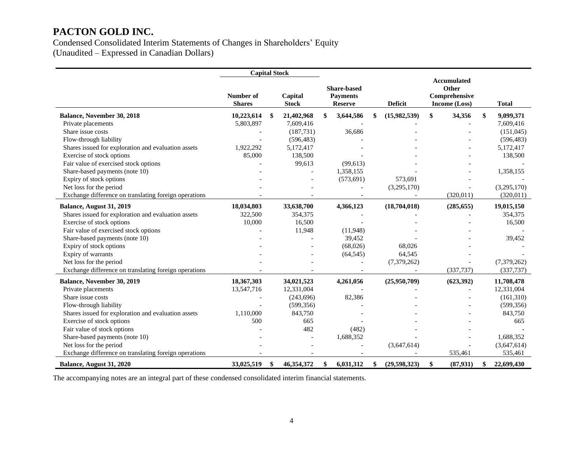Condensed Consolidated Interim Statements of Changes in Shareholders' Equity (Unaudited – Expressed in Canadian Dollars)

|                                                       | <b>Capital Stock</b>       |    |                         |                                                         |                    |                                                               |                  |
|-------------------------------------------------------|----------------------------|----|-------------------------|---------------------------------------------------------|--------------------|---------------------------------------------------------------|------------------|
|                                                       | Number of<br><b>Shares</b> |    | Capital<br><b>Stock</b> | <b>Share-based</b><br><b>Payments</b><br><b>Reserve</b> | Deficit            | <b>Accumulated</b><br>Other<br>Comprehensive<br>Income (Loss) | <b>Total</b>     |
| Balance, November 30, 2018                            | 10,223,614                 | \$ | 21,402,968              | \$<br>3,644,586                                         | (15,982,539)       | \$<br>34,356                                                  | \$<br>9,099,371  |
| Private placements                                    | 5,803,897                  |    | 7,609,416               |                                                         |                    |                                                               | 7,609,416        |
| Share issue costs                                     |                            |    | (187, 731)              | 36,686                                                  |                    |                                                               | (151, 045)       |
| Flow-through liability                                |                            |    | (596, 483)              |                                                         |                    |                                                               | (596, 483)       |
| Shares issued for exploration and evaluation assets   | 1,922,292                  |    | 5,172,417               |                                                         |                    |                                                               | 5,172,417        |
| Exercise of stock options                             | 85,000                     |    | 138,500                 |                                                         |                    |                                                               | 138,500          |
| Fair value of exercised stock options                 |                            |    | 99,613                  | (99, 613)                                               |                    |                                                               |                  |
| Share-based payments (note 10)                        |                            |    |                         | 1,358,155                                               |                    |                                                               | 1,358,155        |
| Expiry of stock options                               |                            |    |                         | (573, 691)                                              | 573,691            |                                                               |                  |
| Net loss for the period                               |                            |    |                         |                                                         | (3,295,170)        |                                                               | (3,295,170)      |
| Exchange difference on translating foreign operations |                            |    |                         |                                                         |                    | (320,011)                                                     | (320, 011)       |
| Balance, August 31, 2019                              | 18,034,803                 |    | 33,638,700              | 4,366,123                                               | (18,704,018)       | (285, 655)                                                    | 19,015,150       |
| Shares issued for exploration and evaluation assets   | 322,500                    |    | 354,375                 |                                                         |                    |                                                               | 354,375          |
| Exercise of stock options                             | 10,000                     |    | 16,500                  |                                                         |                    |                                                               | 16,500           |
| Fair value of exercised stock options                 |                            |    | 11,948                  | (11,948)                                                |                    |                                                               |                  |
| Share-based payments (note 10)                        |                            |    |                         | 39,452                                                  |                    |                                                               | 39,452           |
| Expiry of stock options                               |                            |    |                         | (68,026)                                                | 68.026             |                                                               |                  |
| Expiry of warrants                                    |                            |    |                         | (64, 545)                                               | 64,545             |                                                               |                  |
| Net loss for the period                               |                            |    |                         |                                                         | (7,379,262)        |                                                               | (7,379,262)      |
| Exchange difference on translating foreign operations |                            |    |                         |                                                         |                    | (337,737)                                                     | (337, 737)       |
| Balance, November 30, 2019                            | 18,367,303                 |    | 34,021,523              | 4,261,056                                               | (25,950,709)       | (623, 392)                                                    | 11,708,478       |
| Private placements                                    | 13,547,716                 |    | 12,331,004              |                                                         |                    |                                                               | 12,331,004       |
| Share issue costs                                     |                            |    | (243,696)               | 82,386                                                  |                    |                                                               | (161,310)        |
| Flow-through liability                                |                            |    | (599, 356)              |                                                         |                    |                                                               | (599, 356)       |
| Shares issued for exploration and evaluation assets   | 1,110,000                  |    | 843,750                 |                                                         |                    |                                                               | 843,750          |
| Exercise of stock options                             | 500                        |    | 665                     |                                                         |                    |                                                               | 665              |
| Fair value of stock options                           |                            |    | 482                     | (482)                                                   |                    |                                                               |                  |
| Share-based payments (note 10)                        |                            |    |                         | 1,688,352                                               |                    |                                                               | 1,688,352        |
| Net loss for the period                               |                            |    |                         |                                                         | (3,647,614)        |                                                               | (3,647,614)      |
| Exchange difference on translating foreign operations |                            |    |                         |                                                         |                    | 535,461                                                       | 535,461          |
| Balance, August 31, 2020                              | 33,025,519                 | \$ | 46,354,372              | \$<br>6.031.312                                         | \$<br>(29,598,323) | \$<br>(87, 931)                                               | \$<br>22,699,430 |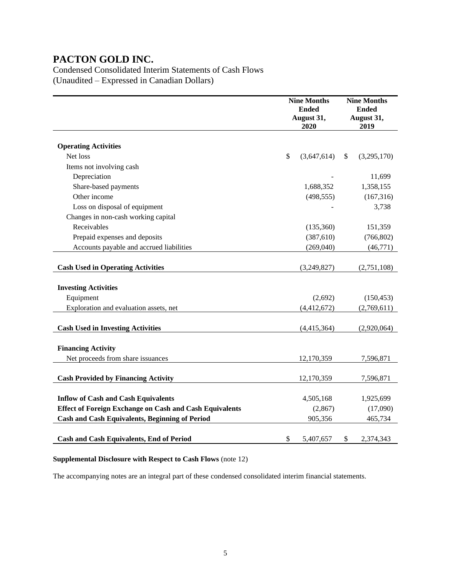Condensed Consolidated Interim Statements of Cash Flows (Unaudited – Expressed in Canadian Dollars)

|                                                                | <b>Nine Months</b><br><b>Ended</b><br>August 31,<br>2020 | <b>Nine Months</b><br><b>Ended</b><br>August 31,<br>2019 |
|----------------------------------------------------------------|----------------------------------------------------------|----------------------------------------------------------|
| <b>Operating Activities</b>                                    |                                                          |                                                          |
| Net loss                                                       | \$<br>(3,647,614)                                        | \$<br>(3,295,170)                                        |
| Items not involving cash                                       |                                                          |                                                          |
| Depreciation                                                   |                                                          | 11,699                                                   |
| Share-based payments                                           | 1,688,352                                                | 1,358,155                                                |
| Other income                                                   | (498, 555)                                               | (167, 316)                                               |
| Loss on disposal of equipment                                  |                                                          | 3,738                                                    |
| Changes in non-cash working capital                            |                                                          |                                                          |
| Receivables                                                    | (135, 360)                                               | 151,359                                                  |
| Prepaid expenses and deposits                                  | (387, 610)                                               | (766, 802)                                               |
| Accounts payable and accrued liabilities                       | (269, 040)                                               | (46,771)                                                 |
|                                                                |                                                          |                                                          |
| <b>Cash Used in Operating Activities</b>                       | (3,249,827)                                              | (2,751,108)                                              |
| <b>Investing Activities</b>                                    |                                                          |                                                          |
| Equipment                                                      | (2,692)                                                  | (150, 453)                                               |
| Exploration and evaluation assets, net                         | (4,412,672)                                              | (2,769,611)                                              |
| <b>Cash Used in Investing Activities</b>                       | (4,415,364)                                              | (2,920,064)                                              |
| <b>Financing Activity</b>                                      |                                                          |                                                          |
| Net proceeds from share issuances                              | 12,170,359                                               | 7,596,871                                                |
| <b>Cash Provided by Financing Activity</b>                     | 12,170,359                                               | 7,596,871                                                |
| <b>Inflow of Cash and Cash Equivalents</b>                     | 4,505,168                                                | 1,925,699                                                |
| <b>Effect of Foreign Exchange on Cash and Cash Equivalents</b> | (2, 867)                                                 | (17,090)                                                 |
| <b>Cash and Cash Equivalents, Beginning of Period</b>          | 905,356                                                  | 465,734                                                  |
|                                                                |                                                          |                                                          |
| <b>Cash and Cash Equivalents, End of Period</b>                | \$<br>5,407,657                                          | \$<br>2,374,343                                          |

### **Supplemental Disclosure with Respect to Cash Flows** (note 12)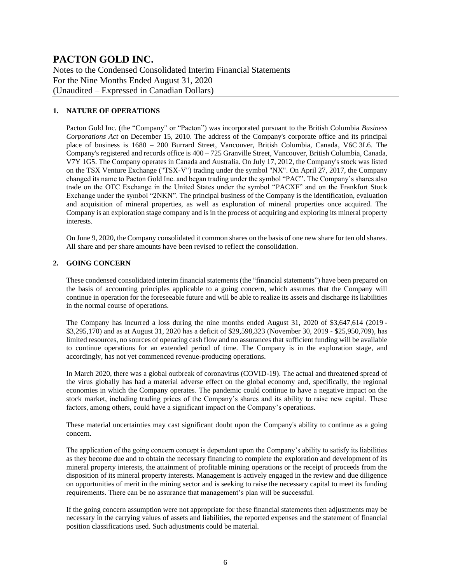Notes to the Condensed Consolidated Interim Financial Statements For the Nine Months Ended August 31, 2020 (Unaudited – Expressed in Canadian Dollars)

### **1. NATURE OF OPERATIONS**

Pacton Gold Inc. (the "Company" or "Pacton") was incorporated pursuant to the British Columbia *Business Corporations Act* on December 15, 2010. The address of the Company's corporate office and its principal place of business is 1680 – 200 Burrard Street, Vancouver, British Columbia, Canada, V6C 3L6. The Company's registered and records office is  $400 - 725$  Granville Street, Vancouver, British Columbia, Canada, V7Y 1G5. The Company operates in Canada and Australia. On July 17, 2012, the Company's stock was listed on the TSX Venture Exchange ("TSX-V") trading under the symbol "NX". On April 27, 2017, the Company changed its name to Pacton Gold Inc. and began trading under the symbol "PAC". The Company's shares also trade on the OTC Exchange in the United States under the symbol "PACXF" and on the Frankfurt Stock Exchange under the symbol "2NKN". The principal business of the Company is the identification, evaluation and acquisition of mineral properties, as well as exploration of mineral properties once acquired. The Company is an exploration stage company and is in the process of acquiring and exploring its mineral property interests.

On June 9, 2020, the Company consolidated it common shares on the basis of one new share for ten old shares. All share and per share amounts have been revised to reflect the consolidation.

### **2. GOING CONCERN**

These condensed consolidated interim financial statements (the "financial statements") have been prepared on the basis of accounting principles applicable to a going concern, which assumes that the Company will continue in operation for the foreseeable future and will be able to realize its assets and discharge its liabilities in the normal course of operations.

The Company has incurred a loss during the nine months ended August 31, 2020 of \$3,647,614 (2019 - \$3,295,170) and as at August 31, 2020 has a deficit of \$29,598,323 (November 30, 2019 - \$25,950,709), has limited resources, no sources of operating cash flow and no assurances that sufficient funding will be available to continue operations for an extended period of time. The Company is in the exploration stage, and accordingly, has not yet commenced revenue-producing operations.

In March 2020, there was a global outbreak of coronavirus (COVID-19). The actual and threatened spread of the virus globally has had a material adverse effect on the global economy and, specifically, the regional economies in which the Company operates. The pandemic could continue to have a negative impact on the stock market, including trading prices of the Company's shares and its ability to raise new capital. These factors, among others, could have a significant impact on the Company's operations.

These material uncertainties may cast significant doubt upon the Company's ability to continue as a going concern.

The application of the going concern concept is dependent upon the Company's ability to satisfy its liabilities as they become due and to obtain the necessary financing to complete the exploration and development of its mineral property interests, the attainment of profitable mining operations or the receipt of proceeds from the disposition of its mineral property interests. Management is actively engaged in the review and due diligence on opportunities of merit in the mining sector and is seeking to raise the necessary capital to meet its funding requirements. There can be no assurance that management's plan will be successful.

If the going concern assumption were not appropriate for these financial statements then adjustments may be necessary in the carrying values of assets and liabilities, the reported expenses and the statement of financial position classifications used. Such adjustments could be material.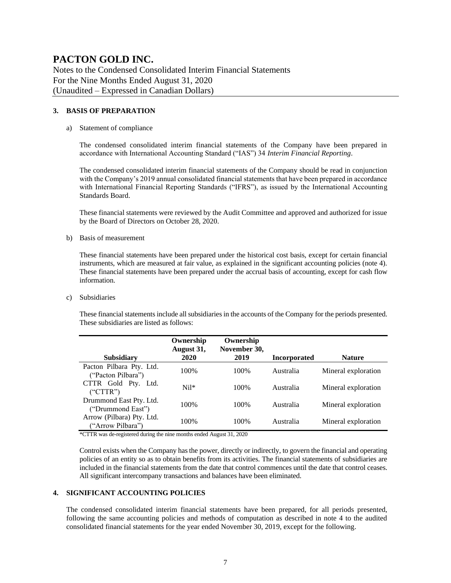Notes to the Condensed Consolidated Interim Financial Statements For the Nine Months Ended August 31, 2020 (Unaudited – Expressed in Canadian Dollars)

#### **3. BASIS OF PREPARATION**

#### a) Statement of compliance

The condensed consolidated interim financial statements of the Company have been prepared in accordance with International Accounting Standard ("IAS") 34 *Interim Financial Reporting*.

The condensed consolidated interim financial statements of the Company should be read in conjunction with the Company's 2019 annual consolidated financial statements that have been prepared in accordance with International Financial Reporting Standards ("IFRS"), as issued by the International Accounting Standards Board.

These financial statements were reviewed by the Audit Committee and approved and authorized for issue by the Board of Directors on October 28, 2020.

b) Basis of measurement

These financial statements have been prepared under the historical cost basis, except for certain financial instruments, which are measured at fair value, as explained in the significant accounting policies (note 4). These financial statements have been prepared under the accrual basis of accounting, except for cash flow information.

c) Subsidiaries

These financial statements include all subsidiaries in the accounts of the Company for the periods presented. These subsidiaries are listed as follows:

| <b>Subsidiary</b>                              | Ownership<br>August 31,<br>2020 | Ownership<br>November 30,<br>2019 | <b>Incorporated</b> | <b>Nature</b>       |
|------------------------------------------------|---------------------------------|-----------------------------------|---------------------|---------------------|
| Pacton Pilbara Pty. Ltd.<br>("Pacton Pilbara") | 100%                            | 100%                              | Australia           | Mineral exploration |
| CTTR Gold Pty. Ltd.<br>("CTTR")                | $Ni1*$                          | 100\%                             | Australia           | Mineral exploration |
| Drummond East Pty. Ltd.<br>("Drummond East")   | 100%                            | 100\%                             | Australia           | Mineral exploration |
| Arrow (Pilbara) Pty. Ltd.<br>("Arrow Pilbara") | 100%                            | 100\%                             | Australia           | Mineral exploration |

\*CTTR was de-registered during the nine months ended August 31, 2020

Control exists when the Company has the power, directly or indirectly, to govern the financial and operating policies of an entity so as to obtain benefits from its activities. The financial statements of subsidiaries are included in the financial statements from the date that control commences until the date that control ceases. All significant intercompany transactions and balances have been eliminated.

#### **4. SIGNIFICANT ACCOUNTING POLICIES**

The condensed consolidated interim financial statements have been prepared, for all periods presented, following the same accounting policies and methods of computation as described in note 4 to the audited consolidated financial statements for the year ended November 30, 2019, except for the following.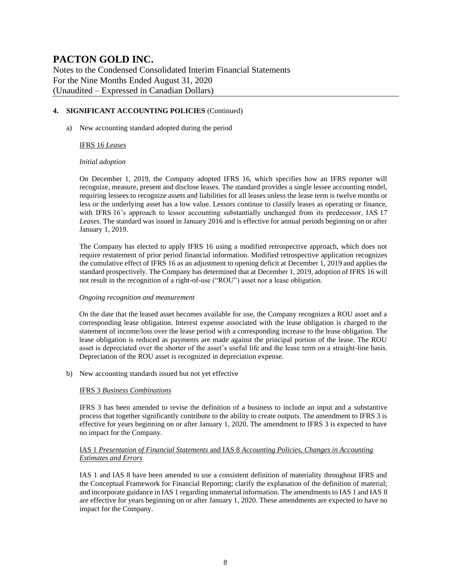Notes to the Condensed Consolidated Interim Financial Statements For the Nine Months Ended August 31, 2020 (Unaudited – Expressed in Canadian Dollars)

### **4. SIGNIFICANT ACCOUNTING POLICIES** (Continued)

a) New accounting standard adopted during the period

#### IFRS 16 *Leases*

#### *Initial adoption*

On December 1, 2019, the Company adopted IFRS 16, which specifies how an IFRS reporter will recognize, measure, present and disclose leases. The standard provides a single lessee accounting model, requiring lessees to recognize assets and liabilities for all leases unless the lease term is twelve months or less or the underlying asset has a low value. Lessors continue to classify leases as operating or finance, with IFRS 16's approach to lessor accounting substantially unchanged from its predecessor, IAS 17 *Leases*. The standard was issued in January 2016 and is effective for annual periods beginning on or after January 1, 2019.

The Company has elected to apply IFRS 16 using a modified retrospective approach, which does not require restatement of prior period financial information. Modified retrospective application recognizes the cumulative effect of IFRS 16 as an adjustment to opening deficit at December 1, 2019 and applies the standard prospectively. The Company has determined that at December 1, 2019, adoption of IFRS 16 will not result in the recognition of a right-of-use ("ROU") asset nor a lease obligation.

#### *Ongoing recognition and measurement*

On the date that the leased asset becomes available for use, the Company recognizes a ROU asset and a corresponding lease obligation. Interest expense associated with the lease obligation is charged to the statement of income/loss over the lease period with a corresponding increase to the lease obligation. The lease obligation is reduced as payments are made against the principal portion of the lease. The ROU asset is depreciated over the shorter of the asset's useful life and the lease term on a straight-line basis. Depreciation of the ROU asset is recognized in depreciation expense.

b) New accounting standards issued but not yet effective

#### IFRS 3 *Business Combinations*

IFRS 3 has been amended to revise the definition of a business to include an input and a substantive process that together significantly contribute to the ability to create outputs. The amendment to IFRS 3 is effective for years beginning on or after January 1, 2020. The amendment to IFRS 3 is expected to have no impact for the Company.

### IAS 1 *Presentation of Financial Statements* and IAS 8 *Accounting Policies, Changes in Accounting Estimates and Errors*

IAS 1 and IAS 8 have been amended to use a consistent definition of materiality throughout IFRS and the Conceptual Framework for Financial Reporting; clarify the explanation of the definition of material; and incorporate guidance in IAS 1 regarding immaterial information. The amendments to IAS 1 and IAS 8 are effective for years beginning on or after January 1, 2020. These amendments are expected to have no impact for the Company.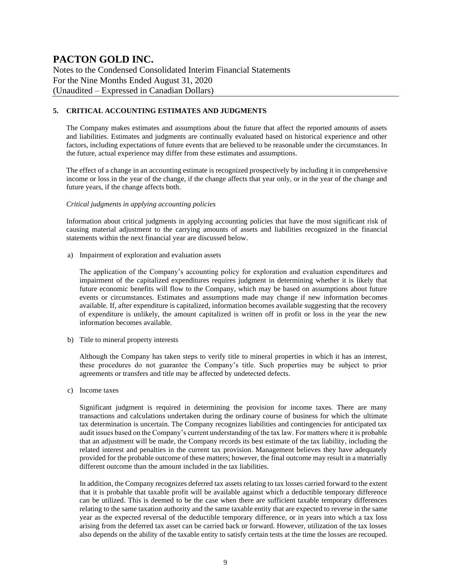Notes to the Condensed Consolidated Interim Financial Statements For the Nine Months Ended August 31, 2020 (Unaudited – Expressed in Canadian Dollars)

### **5. CRITICAL ACCOUNTING ESTIMATES AND JUDGMENTS**

The Company makes estimates and assumptions about the future that affect the reported amounts of assets and liabilities. Estimates and judgments are continually evaluated based on historical experience and other factors, including expectations of future events that are believed to be reasonable under the circumstances. In the future, actual experience may differ from these estimates and assumptions.

The effect of a change in an accounting estimate is recognized prospectively by including it in comprehensive income or loss in the year of the change, if the change affects that year only, or in the year of the change and future years, if the change affects both.

#### *Critical judgments in applying accounting policies*

Information about critical judgments in applying accounting policies that have the most significant risk of causing material adjustment to the carrying amounts of assets and liabilities recognized in the financial statements within the next financial year are discussed below.

a) Impairment of exploration and evaluation assets

The application of the Company's accounting policy for exploration and evaluation expenditures and impairment of the capitalized expenditures requires judgment in determining whether it is likely that future economic benefits will flow to the Company, which may be based on assumptions about future events or circumstances. Estimates and assumptions made may change if new information becomes available. If, after expenditure is capitalized, information becomes available suggesting that the recovery of expenditure is unlikely, the amount capitalized is written off in profit or loss in the year the new information becomes available.

b) Title to mineral property interests

Although the Company has taken steps to verify title to mineral properties in which it has an interest, these procedures do not guarantee the Company's title. Such properties may be subject to prior agreements or transfers and title may be affected by undetected defects.

c) Income taxes

Significant judgment is required in determining the provision for income taxes. There are many transactions and calculations undertaken during the ordinary course of business for which the ultimate tax determination is uncertain. The Company recognizes liabilities and contingencies for anticipated tax audit issues based on the Company's current understanding of the tax law. For matters where it is probable that an adjustment will be made, the Company records its best estimate of the tax liability, including the related interest and penalties in the current tax provision. Management believes they have adequately provided for the probable outcome of these matters; however, the final outcome may result in a materially different outcome than the amount included in the tax liabilities.

In addition, the Company recognizes deferred tax assets relating to tax losses carried forward to the extent that it is probable that taxable profit will be available against which a deductible temporary difference can be utilized. This is deemed to be the case when there are sufficient taxable temporary differences relating to the same taxation authority and the same taxable entity that are expected to reverse in the same year as the expected reversal of the deductible temporary difference, or in years into which a tax loss arising from the deferred tax asset can be carried back or forward. However, utilization of the tax losses also depends on the ability of the taxable entity to satisfy certain tests at the time the losses are recouped.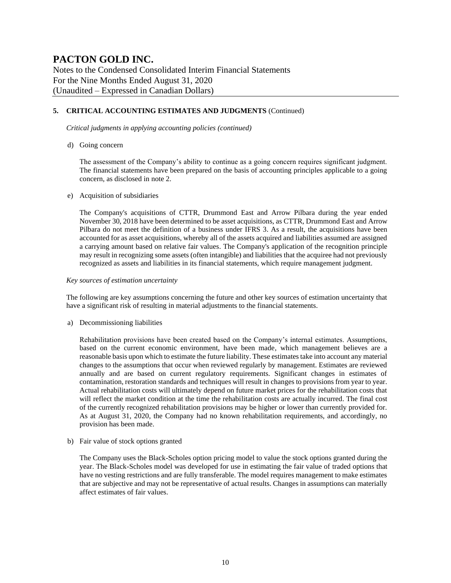Notes to the Condensed Consolidated Interim Financial Statements For the Nine Months Ended August 31, 2020 (Unaudited – Expressed in Canadian Dollars)

### **5. CRITICAL ACCOUNTING ESTIMATES AND JUDGMENTS** (Continued)

*Critical judgments in applying accounting policies (continued)*

d) Going concern

The assessment of the Company's ability to continue as a going concern requires significant judgment. The financial statements have been prepared on the basis of accounting principles applicable to a going concern, as disclosed in note 2.

#### e) Acquisition of subsidiaries

The Company's acquisitions of CTTR, Drummond East and Arrow Pilbara during the year ended November 30, 2018 have been determined to be asset acquisitions, as CTTR, Drummond East and Arrow Pilbara do not meet the definition of a business under IFRS 3. As a result, the acquisitions have been accounted for as asset acquisitions, whereby all of the assets acquired and liabilities assumed are assigned a carrying amount based on relative fair values. The Company's application of the recognition principle may result in recognizing some assets (often intangible) and liabilities that the acquiree had not previously recognized as assets and liabilities in its financial statements, which require management judgment.

#### *Key sources of estimation uncertainty*

The following are key assumptions concerning the future and other key sources of estimation uncertainty that have a significant risk of resulting in material adjustments to the financial statements.

a) Decommissioning liabilities

Rehabilitation provisions have been created based on the Company's internal estimates. Assumptions, based on the current economic environment, have been made, which management believes are a reasonable basis upon which to estimate the future liability. These estimates take into account any material changes to the assumptions that occur when reviewed regularly by management. Estimates are reviewed annually and are based on current regulatory requirements. Significant changes in estimates of contamination, restoration standards and techniques will result in changes to provisions from year to year. Actual rehabilitation costs will ultimately depend on future market prices for the rehabilitation costs that will reflect the market condition at the time the rehabilitation costs are actually incurred. The final cost of the currently recognized rehabilitation provisions may be higher or lower than currently provided for. As at August 31, 2020, the Company had no known rehabilitation requirements, and accordingly, no provision has been made.

b) Fair value of stock options granted

The Company uses the Black-Scholes option pricing model to value the stock options granted during the year. The Black-Scholes model was developed for use in estimating the fair value of traded options that have no vesting restrictions and are fully transferable. The model requires management to make estimates that are subjective and may not be representative of actual results. Changes in assumptions can materially affect estimates of fair values.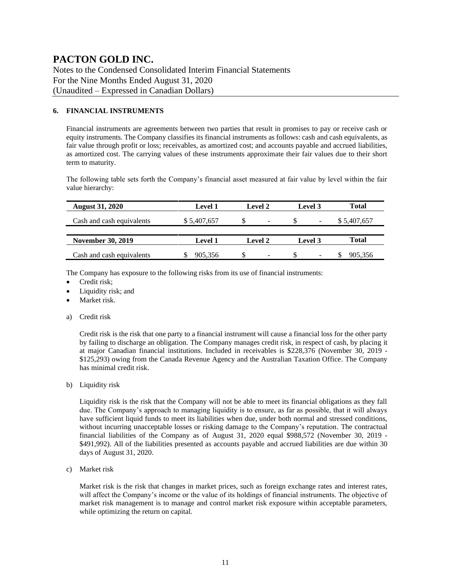Notes to the Condensed Consolidated Interim Financial Statements For the Nine Months Ended August 31, 2020 (Unaudited – Expressed in Canadian Dollars)

### **6. FINANCIAL INSTRUMENTS**

Financial instruments are agreements between two parties that result in promises to pay or receive cash or equity instruments. The Company classifies its financial instruments as follows: cash and cash equivalents, as fair value through profit or loss; receivables, as amortized cost; and accounts payable and accrued liabilities, as amortized cost. The carrying values of these instruments approximate their fair values due to their short term to maturity.

The following table sets forth the Company's financial asset measured at fair value by level within the fair value hierarchy:

| <b>August 31, 2020</b>    | <b>Level 1</b> | Level 3<br><b>Level 2</b> |                          |              |
|---------------------------|----------------|---------------------------|--------------------------|--------------|
| Cash and cash equivalents | \$5,407,657    | S<br>$\qquad \qquad$      | $\overline{\phantom{a}}$ | \$5,407,657  |
|                           |                |                           |                          |              |
| <b>November 30, 2019</b>  | <b>Level 1</b> | Level 2                   | <b>Level</b> 3           | <b>Total</b> |
| Cash and cash equivalents | 905.356        | $\overline{\phantom{0}}$  | -                        | 905,356      |

The Company has exposure to the following risks from its use of financial instruments:

- Credit risk:
- Liquidity risk; and
- Market risk.
- a) Credit risk

Credit risk is the risk that one party to a financial instrument will cause a financial loss for the other party by failing to discharge an obligation. The Company manages credit risk, in respect of cash, by placing it at major Canadian financial institutions. Included in receivables is \$228,376 (November 30, 2019 - \$125,293) owing from the Canada Revenue Agency and the Australian Taxation Office. The Company has minimal credit risk.

b) Liquidity risk

Liquidity risk is the risk that the Company will not be able to meet its financial obligations as they fall due. The Company's approach to managing liquidity is to ensure, as far as possible, that it will always have sufficient liquid funds to meet its liabilities when due, under both normal and stressed conditions, without incurring unacceptable losses or risking damage to the Company's reputation. The contractual financial liabilities of the Company as of August 31, 2020 equal \$988,572 (November 30, 2019 - \$491,992). All of the liabilities presented as accounts payable and accrued liabilities are due within 30 days of August 31, 2020.

c) Market risk

Market risk is the risk that changes in market prices, such as foreign exchange rates and interest rates, will affect the Company's income or the value of its holdings of financial instruments. The objective of market risk management is to manage and control market risk exposure within acceptable parameters, while optimizing the return on capital.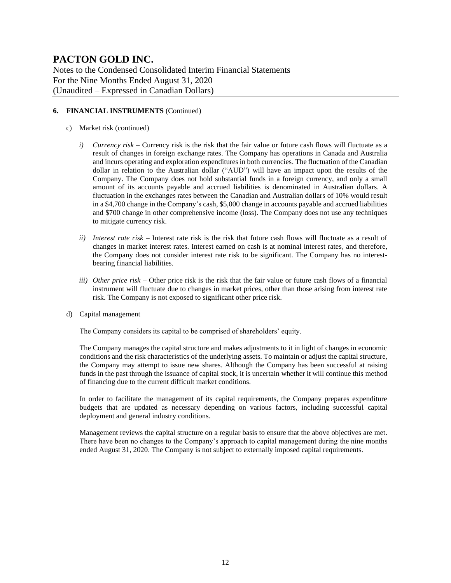Notes to the Condensed Consolidated Interim Financial Statements For the Nine Months Ended August 31, 2020 (Unaudited – Expressed in Canadian Dollars)

### **6. FINANCIAL INSTRUMENTS** (Continued)

- c) Market risk (continued)
	- *i) Currency risk –* Currency risk is the risk that the fair value or future cash flows will fluctuate as a result of changes in foreign exchange rates. The Company has operations in Canada and Australia and incurs operating and exploration expenditures in both currencies. The fluctuation of the Canadian dollar in relation to the Australian dollar ("AUD") will have an impact upon the results of the Company. The Company does not hold substantial funds in a foreign currency, and only a small amount of its accounts payable and accrued liabilities is denominated in Australian dollars. A fluctuation in the exchanges rates between the Canadian and Australian dollars of 10% would result in a \$4,700 change in the Company's cash, \$5,000 change in accounts payable and accrued liabilities and \$700 change in other comprehensive income (loss). The Company does not use any techniques to mitigate currency risk.
	- *ii) Interest rate risk –* Interest rate risk is the risk that future cash flows will fluctuate as a result of changes in market interest rates. Interest earned on cash is at nominal interest rates, and therefore, the Company does not consider interest rate risk to be significant. The Company has no interestbearing financial liabilities.
	- *iii) Other price risk –* Other price risk is the risk that the fair value or future cash flows of a financial instrument will fluctuate due to changes in market prices, other than those arising from interest rate risk. The Company is not exposed to significant other price risk.
- d) Capital management

The Company considers its capital to be comprised of shareholders' equity.

The Company manages the capital structure and makes adjustments to it in light of changes in economic conditions and the risk characteristics of the underlying assets. To maintain or adjust the capital structure, the Company may attempt to issue new shares. Although the Company has been successful at raising funds in the past through the issuance of capital stock, it is uncertain whether it will continue this method of financing due to the current difficult market conditions.

In order to facilitate the management of its capital requirements, the Company prepares expenditure budgets that are updated as necessary depending on various factors, including successful capital deployment and general industry conditions.

Management reviews the capital structure on a regular basis to ensure that the above objectives are met. There have been no changes to the Company's approach to capital management during the nine months ended August 31, 2020. The Company is not subject to externally imposed capital requirements.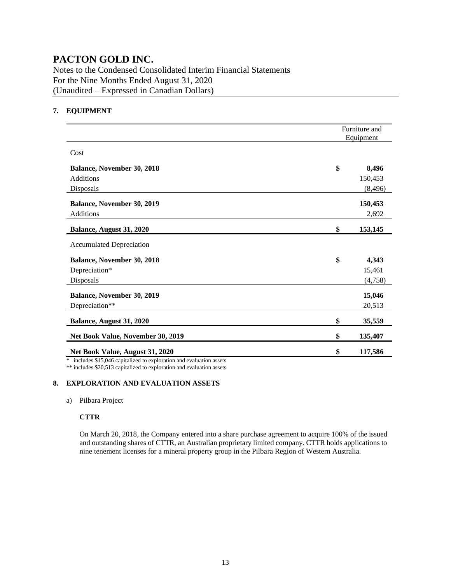Notes to the Condensed Consolidated Interim Financial Statements For the Nine Months Ended August 31, 2020 (Unaudited – Expressed in Canadian Dollars)

### **7. EQUIPMENT**

|                                                                                       | Furniture and<br>Equipment |          |  |
|---------------------------------------------------------------------------------------|----------------------------|----------|--|
| Cost                                                                                  |                            |          |  |
| <b>Balance, November 30, 2018</b>                                                     | \$                         | 8,496    |  |
| <b>Additions</b>                                                                      |                            | 150,453  |  |
| Disposals                                                                             |                            | (8, 496) |  |
| Balance, November 30, 2019                                                            |                            | 150,453  |  |
| <b>Additions</b>                                                                      |                            | 2,692    |  |
| Balance, August 31, 2020                                                              | \$                         | 153,145  |  |
| <b>Accumulated Depreciation</b>                                                       |                            |          |  |
| Balance, November 30, 2018                                                            | \$                         | 4,343    |  |
| Depreciation*                                                                         |                            | 15,461   |  |
| Disposals                                                                             |                            | (4,758)  |  |
| <b>Balance, November 30, 2019</b>                                                     |                            | 15,046   |  |
| Depreciation**                                                                        |                            | 20,513   |  |
| Balance, August 31, 2020                                                              | \$                         | 35,559   |  |
| Net Book Value, November 30, 2019                                                     | \$                         | 135,407  |  |
| Net Book Value, August 31, 2020<br>$1.1.017047 \t\t\t\t\t 1.1.1.1 \t\t\t\t 1.1.1.1.1$ | \$                         | 117,586  |  |

\* includes \$15,046 capitalized to exploration and evaluation assets

\*\* includes \$20,513 capitalized to exploration and evaluation assets

### **8. EXPLORATION AND EVALUATION ASSETS**

a) Pilbara Project

### **CTTR**

On March 20, 2018, the Company entered into a share purchase agreement to acquire 100% of the issued and outstanding shares of CTTR, an Australian proprietary limited company. CTTR holds applications to nine tenement licenses for a mineral property group in the Pilbara Region of Western Australia.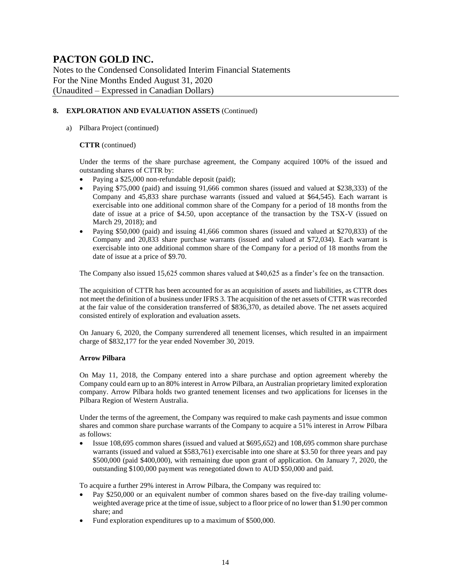Notes to the Condensed Consolidated Interim Financial Statements For the Nine Months Ended August 31, 2020 (Unaudited – Expressed in Canadian Dollars)

### **8. EXPLORATION AND EVALUATION ASSETS** (Continued)

a) Pilbara Project (continued)

#### **CTTR** (continued)

Under the terms of the share purchase agreement, the Company acquired 100% of the issued and outstanding shares of CTTR by:

- Paying a \$25,000 non-refundable deposit (paid);
- Paying \$75,000 (paid) and issuing 91,666 common shares (issued and valued at \$238,333) of the Company and 45,833 share purchase warrants (issued and valued at \$64,545). Each warrant is exercisable into one additional common share of the Company for a period of 18 months from the date of issue at a price of \$4.50, upon acceptance of the transaction by the TSX-V (issued on March 29, 2018); and
- Paying \$50,000 (paid) and issuing 41,666 common shares (issued and valued at \$270,833) of the Company and 20,833 share purchase warrants (issued and valued at \$72,034). Each warrant is exercisable into one additional common share of the Company for a period of 18 months from the date of issue at a price of \$9.70.

The Company also issued 15,625 common shares valued at \$40,625 as a finder's fee on the transaction.

The acquisition of CTTR has been accounted for as an acquisition of assets and liabilities, as CTTR does not meet the definition of a business under IFRS 3. The acquisition of the net assets of CTTR was recorded at the fair value of the consideration transferred of \$836,370, as detailed above. The net assets acquired consisted entirely of exploration and evaluation assets.

On January 6, 2020, the Company surrendered all tenement licenses, which resulted in an impairment charge of \$832,177 for the year ended November 30, 2019.

#### **Arrow Pilbara**

On May 11, 2018, the Company entered into a share purchase and option agreement whereby the Company could earn up to an 80% interest in Arrow Pilbara, an Australian proprietary limited exploration company. Arrow Pilbara holds two granted tenement licenses and two applications for licenses in the Pilbara Region of Western Australia.

Under the terms of the agreement, the Company was required to make cash payments and issue common shares and common share purchase warrants of the Company to acquire a 51% interest in Arrow Pilbara as follows:

• Issue 108,695 common shares (issued and valued at \$695,652) and 108,695 common share purchase warrants (issued and valued at \$583,761) exercisable into one share at \$3.50 for three years and pay \$500,000 (paid \$400,000), with remaining due upon grant of application. On January 7, 2020, the outstanding \$100,000 payment was renegotiated down to AUD \$50,000 and paid.

To acquire a further 29% interest in Arrow Pilbara, the Company was required to:

- Pay \$250,000 or an equivalent number of common shares based on the five-day trailing volumeweighted average price at the time of issue, subject to a floor price of no lower than \$1.90 per common share; and
- Fund exploration expenditures up to a maximum of \$500,000.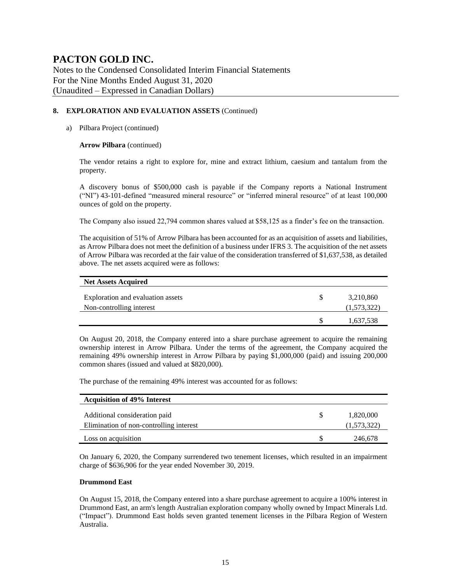Notes to the Condensed Consolidated Interim Financial Statements For the Nine Months Ended August 31, 2020 (Unaudited – Expressed in Canadian Dollars)

### **8. EXPLORATION AND EVALUATION ASSETS** (Continued)

#### a) Pilbara Project (continued)

#### **Arrow Pilbara** (continued)

The vendor retains a right to explore for, mine and extract lithium, caesium and tantalum from the property.

A discovery bonus of \$500,000 cash is payable if the Company reports a National Instrument ("NI") 43-101-defined "measured mineral resource" or "inferred mineral resource" of at least 100,000 ounces of gold on the property.

The Company also issued 22,794 common shares valued at \$58,125 as a finder's fee on the transaction.

The acquisition of 51% of Arrow Pilbara has been accounted for as an acquisition of assets and liabilities, as Arrow Pilbara does not meet the definition of a business under IFRS 3. The acquisition of the net assets of Arrow Pilbara was recorded at the fair value of the consideration transferred of \$1,637,538, as detailed above. The net assets acquired were as follows:

| <b>Net Assets Acquired</b>                                    |                          |
|---------------------------------------------------------------|--------------------------|
| Exploration and evaluation assets<br>Non-controlling interest | 3,210,860<br>(1,573,322) |
|                                                               | 1,637,538                |

On August 20, 2018, the Company entered into a share purchase agreement to acquire the remaining ownership interest in Arrow Pilbara. Under the terms of the agreement, the Company acquired the remaining 49% ownership interest in Arrow Pilbara by paying \$1,000,000 (paid) and issuing 200,000 common shares (issued and valued at \$820,000).

The purchase of the remaining 49% interest was accounted for as follows:

| <b>Acquisition of 49% Interest</b>      |             |
|-----------------------------------------|-------------|
| Additional consideration paid           | 1,820,000   |
| Elimination of non-controlling interest | (1,573,322) |
| Loss on acquisition                     | 246,678     |

On January 6, 2020, the Company surrendered two tenement licenses, which resulted in an impairment charge of \$636,906 for the year ended November 30, 2019.

#### **Drummond East**

On August 15, 2018, the Company entered into a share purchase agreement to acquire a 100% interest in Drummond East, an arm's length Australian exploration company wholly owned by Impact Minerals Ltd. ("Impact"). Drummond East holds seven granted tenement licenses in the Pilbara Region of Western Australia.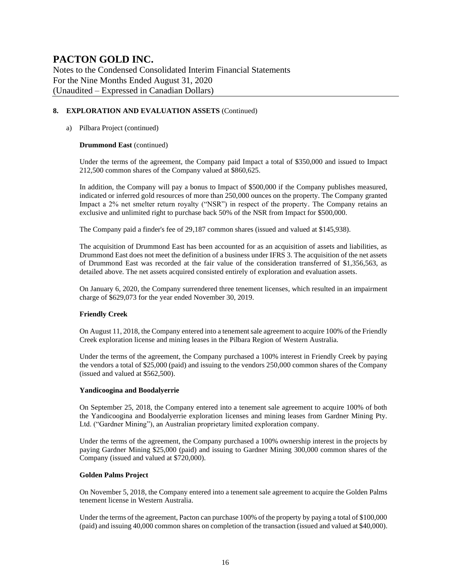Notes to the Condensed Consolidated Interim Financial Statements For the Nine Months Ended August 31, 2020 (Unaudited – Expressed in Canadian Dollars)

### **8. EXPLORATION AND EVALUATION ASSETS** (Continued)

### a) Pilbara Project (continued)

#### **Drummond East** (continued)

Under the terms of the agreement, the Company paid Impact a total of \$350,000 and issued to Impact 212,500 common shares of the Company valued at \$860,625.

In addition, the Company will pay a bonus to Impact of \$500,000 if the Company publishes measured, indicated or inferred gold resources of more than 250,000 ounces on the property. The Company granted Impact a 2% net smelter return royalty ("NSR") in respect of the property. The Company retains an exclusive and unlimited right to purchase back 50% of the NSR from Impact for \$500,000.

The Company paid a finder's fee of 29,187 common shares (issued and valued at \$145,938).

The acquisition of Drummond East has been accounted for as an acquisition of assets and liabilities, as Drummond East does not meet the definition of a business under IFRS 3. The acquisition of the net assets of Drummond East was recorded at the fair value of the consideration transferred of \$1,356,563, as detailed above. The net assets acquired consisted entirely of exploration and evaluation assets.

On January 6, 2020, the Company surrendered three tenement licenses, which resulted in an impairment charge of \$629,073 for the year ended November 30, 2019.

### **Friendly Creek**

On August 11, 2018, the Company entered into a tenement sale agreement to acquire 100% of the Friendly Creek exploration license and mining leases in the Pilbara Region of Western Australia.

Under the terms of the agreement, the Company purchased a 100% interest in Friendly Creek by paying the vendors a total of \$25,000 (paid) and issuing to the vendors 250,000 common shares of the Company (issued and valued at \$562,500).

#### **Yandicoogina and Boodalyerrie**

On September 25, 2018, the Company entered into a tenement sale agreement to acquire 100% of both the Yandicoogina and Boodalyerrie exploration licenses and mining leases from Gardner Mining Pty. Ltd. ("Gardner Mining"), an Australian proprietary limited exploration company.

Under the terms of the agreement, the Company purchased a 100% ownership interest in the projects by paying Gardner Mining \$25,000 (paid) and issuing to Gardner Mining 300,000 common shares of the Company (issued and valued at \$720,000).

#### **Golden Palms Project**

On November 5, 2018, the Company entered into a tenement sale agreement to acquire the Golden Palms tenement license in Western Australia.

Under the terms of the agreement, Pacton can purchase 100% of the property by paying a total of \$100,000 (paid) and issuing 40,000 common shares on completion of the transaction (issued and valued at \$40,000).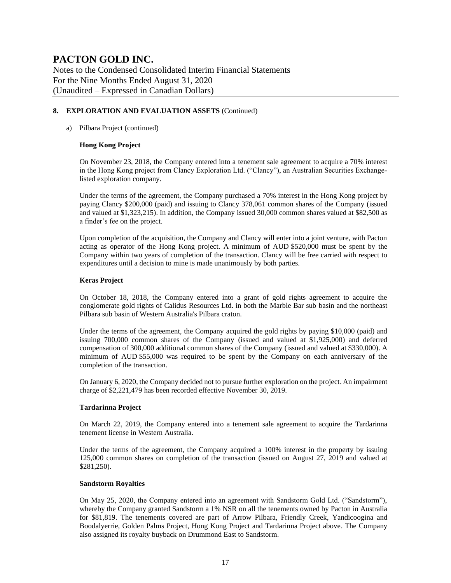Notes to the Condensed Consolidated Interim Financial Statements For the Nine Months Ended August 31, 2020 (Unaudited – Expressed in Canadian Dollars)

### **8. EXPLORATION AND EVALUATION ASSETS** (Continued)

### a) Pilbara Project (continued)

### **Hong Kong Project**

On November 23, 2018, the Company entered into a tenement sale agreement to acquire a 70% interest in the Hong Kong project from Clancy Exploration Ltd. ("Clancy"), an Australian Securities Exchangelisted exploration company.

Under the terms of the agreement, the Company purchased a 70% interest in the Hong Kong project by paying Clancy \$200,000 (paid) and issuing to Clancy 378,061 common shares of the Company (issued and valued at \$1,323,215). In addition, the Company issued 30,000 common shares valued at \$82,500 as a finder's fee on the project.

Upon completion of the acquisition, the Company and Clancy will enter into a joint venture, with Pacton acting as operator of the Hong Kong project. A minimum of AUD \$520,000 must be spent by the Company within two years of completion of the transaction. Clancy will be free carried with respect to expenditures until a decision to mine is made unanimously by both parties.

#### **Keras Project**

On October 18, 2018, the Company entered into a grant of gold rights agreement to acquire the conglomerate gold rights of Calidus Resources Ltd. in both the Marble Bar sub basin and the northeast Pilbara sub basin of Western Australia's Pilbara craton.

Under the terms of the agreement, the Company acquired the gold rights by paying \$10,000 (paid) and issuing 700,000 common shares of the Company (issued and valued at \$1,925,000) and deferred compensation of 300,000 additional common shares of the Company (issued and valued at \$330,000). A minimum of AUD \$55,000 was required to be spent by the Company on each anniversary of the completion of the transaction.

On January 6, 2020, the Company decided not to pursue further exploration on the project. An impairment charge of \$2,221,479 has been recorded effective November 30, 2019.

#### **Tardarinna Project**

On March 22, 2019, the Company entered into a tenement sale agreement to acquire the Tardarinna tenement license in Western Australia.

Under the terms of the agreement, the Company acquired a 100% interest in the property by issuing 125,000 common shares on completion of the transaction (issued on August 27, 2019 and valued at \$281,250).

#### **Sandstorm Royalties**

On May 25, 2020, the Company entered into an agreement with Sandstorm Gold Ltd. ("Sandstorm"), whereby the Company granted Sandstorm a 1% NSR on all the tenements owned by Pacton in Australia for \$81,819. The tenements covered are part of Arrow Pilbara, Friendly Creek, Yandicoogina and Boodalyerrie, Golden Palms Project, Hong Kong Project and Tardarinna Project above. The Company also assigned its royalty buyback on Drummond East to Sandstorm.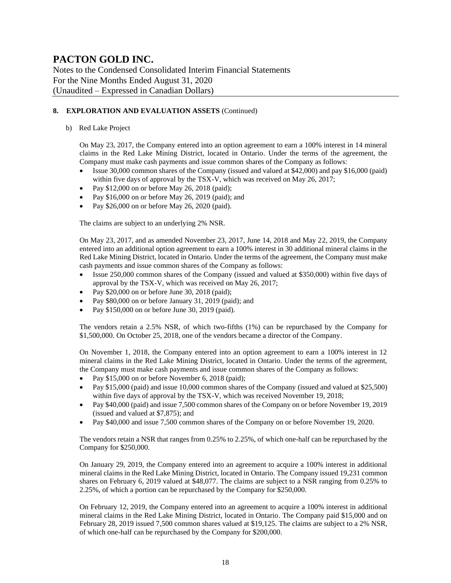Notes to the Condensed Consolidated Interim Financial Statements For the Nine Months Ended August 31, 2020 (Unaudited – Expressed in Canadian Dollars)

### **8. EXPLORATION AND EVALUATION ASSETS** (Continued)

b) Red Lake Project

On May 23, 2017, the Company entered into an option agreement to earn a 100% interest in 14 mineral claims in the Red Lake Mining District, located in Ontario. Under the terms of the agreement, the Company must make cash payments and issue common shares of the Company as follows:

- Issue 30,000 common shares of the Company (issued and valued at \$42,000) and pay \$16,000 (paid) within five days of approval by the TSX-V, which was received on May 26, 2017;
- Pay  $$12,000$  on or before May 26, 2018 (paid);
- Pay \$16,000 on or before May 26, 2019 (paid); and
- Pay \$26,000 on or before May 26, 2020 (paid).

The claims are subject to an underlying 2% NSR.

On May 23, 2017, and as amended November 23, 2017, June 14, 2018 and May 22, 2019, the Company entered into an additional option agreement to earn a 100% interest in 30 additional mineral claims in the Red Lake Mining District, located in Ontario. Under the terms of the agreement, the Company must make cash payments and issue common shares of the Company as follows:

- Issue 250,000 common shares of the Company (issued and valued at \$350,000) within five days of approval by the TSX-V, which was received on May 26, 2017;
- Pay \$20,000 on or before June 30, 2018 (paid);
- Pay \$80,000 on or before January 31, 2019 (paid); and
- Pay \$150,000 on or before June 30, 2019 (paid).

The vendors retain a 2.5% NSR, of which two-fifths (1%) can be repurchased by the Company for \$1,500,000. On October 25, 2018, one of the vendors became a director of the Company.

On November 1, 2018, the Company entered into an option agreement to earn a 100% interest in 12 mineral claims in the Red Lake Mining District, located in Ontario. Under the terms of the agreement, the Company must make cash payments and issue common shares of the Company as follows:

- Pay \$15,000 on or before November 6, 2018 (paid);
- Pay \$15,000 (paid) and issue 10,000 common shares of the Company (issued and valued at \$25,500) within five days of approval by the TSX-V, which was received November 19, 2018;
- Pay \$40,000 (paid) and issue 7,500 common shares of the Company on or before November 19, 2019 (issued and valued at \$7,875); and
- Pay \$40,000 and issue 7,500 common shares of the Company on or before November 19, 2020.

The vendors retain a NSR that ranges from 0.25% to 2.25%, of which one-half can be repurchased by the Company for \$250,000.

On January 29, 2019, the Company entered into an agreement to acquire a 100% interest in additional mineral claims in the Red Lake Mining District, located in Ontario. The Company issued 19,231 common shares on February 6, 2019 valued at \$48,077. The claims are subject to a NSR ranging from 0.25% to 2.25%, of which a portion can be repurchased by the Company for \$250,000.

On February 12, 2019, the Company entered into an agreement to acquire a 100% interest in additional mineral claims in the Red Lake Mining District, located in Ontario. The Company paid \$15,000 and on February 28, 2019 issued 7,500 common shares valued at \$19,125. The claims are subject to a 2% NSR, of which one-half can be repurchased by the Company for \$200,000.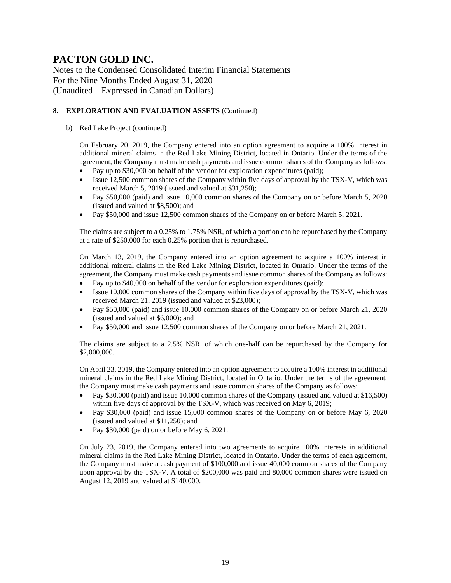Notes to the Condensed Consolidated Interim Financial Statements For the Nine Months Ended August 31, 2020 (Unaudited – Expressed in Canadian Dollars)

### **8. EXPLORATION AND EVALUATION ASSETS** (Continued)

#### b) Red Lake Project (continued)

On February 20, 2019, the Company entered into an option agreement to acquire a 100% interest in additional mineral claims in the Red Lake Mining District, located in Ontario. Under the terms of the agreement, the Company must make cash payments and issue common shares of the Company as follows:

- Pay up to \$30,000 on behalf of the vendor for exploration expenditures (paid);
- Issue 12,500 common shares of the Company within five days of approval by the TSX-V, which was received March 5, 2019 (issued and valued at \$31,250);
- Pay \$50,000 (paid) and issue 10,000 common shares of the Company on or before March 5, 2020 (issued and valued at \$8,500); and
- Pay \$50,000 and issue 12,500 common shares of the Company on or before March 5, 2021.

The claims are subject to a 0.25% to 1.75% NSR, of which a portion can be repurchased by the Company at a rate of \$250,000 for each 0.25% portion that is repurchased.

On March 13, 2019, the Company entered into an option agreement to acquire a 100% interest in additional mineral claims in the Red Lake Mining District, located in Ontario. Under the terms of the agreement, the Company must make cash payments and issue common shares of the Company as follows:

- Pay up to \$40,000 on behalf of the vendor for exploration expenditures (paid);
- Issue 10,000 common shares of the Company within five days of approval by the TSX-V, which was received March 21, 2019 (issued and valued at \$23,000);
- Pay \$50,000 (paid) and issue 10,000 common shares of the Company on or before March 21, 2020 (issued and valued at \$6,000); and
- Pay \$50,000 and issue 12,500 common shares of the Company on or before March 21, 2021.

The claims are subject to a 2.5% NSR, of which one-half can be repurchased by the Company for \$2,000,000.

On April 23, 2019, the Company entered into an option agreement to acquire a 100% interest in additional mineral claims in the Red Lake Mining District, located in Ontario. Under the terms of the agreement, the Company must make cash payments and issue common shares of the Company as follows:

- Pay \$30,000 (paid) and issue 10,000 common shares of the Company (issued and valued at \$16,500) within five days of approval by the TSX-V, which was received on May 6, 2019;
- Pay \$30,000 (paid) and issue 15,000 common shares of the Company on or before May 6, 2020 (issued and valued at \$11,250); and
- Pay \$30,000 (paid) on or before May 6, 2021.

On July 23, 2019, the Company entered into two agreements to acquire 100% interests in additional mineral claims in the Red Lake Mining District, located in Ontario. Under the terms of each agreement, the Company must make a cash payment of \$100,000 and issue 40,000 common shares of the Company upon approval by the TSX-V. A total of \$200,000 was paid and 80,000 common shares were issued on August 12, 2019 and valued at \$140,000.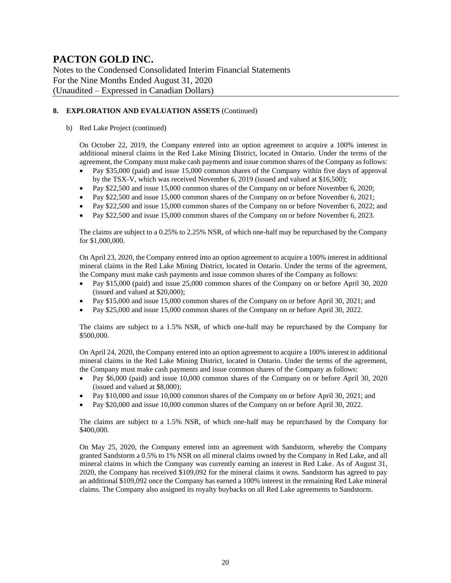Notes to the Condensed Consolidated Interim Financial Statements For the Nine Months Ended August 31, 2020 (Unaudited – Expressed in Canadian Dollars)

### **8. EXPLORATION AND EVALUATION ASSETS** (Continued)

#### b) Red Lake Project (continued)

On October 22, 2019, the Company entered into an option agreement to acquire a 100% interest in additional mineral claims in the Red Lake Mining District, located in Ontario. Under the terms of the agreement, the Company must make cash payments and issue common shares of the Company as follows:

- Pay \$35,000 (paid) and issue 15,000 common shares of the Company within five days of approval by the TSX-V, which was received November 6, 2019 (issued and valued at \$16,500);
- Pay \$22,500 and issue 15,000 common shares of the Company on or before November 6, 2020;
- Pay \$22,500 and issue 15,000 common shares of the Company on or before November 6, 2021;
- Pay \$22,500 and issue 15,000 common shares of the Company on or before November 6, 2022; and
- Pay \$22,500 and issue 15,000 common shares of the Company on or before November 6, 2023.

The claims are subject to a 0.25% to 2.25% NSR, of which one-half may be repurchased by the Company for \$1,000,000.

On April 23, 2020, the Company entered into an option agreement to acquire a 100% interest in additional mineral claims in the Red Lake Mining District, located in Ontario. Under the terms of the agreement, the Company must make cash payments and issue common shares of the Company as follows:

- Pay \$15,000 (paid) and issue 25,000 common shares of the Company on or before April 30, 2020 (issued and valued at \$20,000);
- Pay \$15,000 and issue 15,000 common shares of the Company on or before April 30, 2021; and
- Pay \$25,000 and issue 15,000 common shares of the Company on or before April 30, 2022.

The claims are subject to a 1.5% NSR, of which one-half may be repurchased by the Company for \$500,000.

On April 24, 2020, the Company entered into an option agreement to acquire a 100% interest in additional mineral claims in the Red Lake Mining District, located in Ontario. Under the terms of the agreement, the Company must make cash payments and issue common shares of the Company as follows:

- Pay \$6,000 (paid) and issue 10,000 common shares of the Company on or before April 30, 2020 (issued and valued at \$8,000);
- Pay \$10,000 and issue 10,000 common shares of the Company on or before April 30, 2021; and
- Pay \$20,000 and issue 10,000 common shares of the Company on or before April 30, 2022.

The claims are subject to a 1.5% NSR, of which one-half may be repurchased by the Company for \$400,000.

On May 25, 2020, the Company entered into an agreement with Sandstorm, whereby the Company granted Sandstorm a 0.5% to 1% NSR on all mineral claims owned by the Company in Red Lake, and all mineral claims in which the Company was currently earning an interest in Red Lake. As of August 31, 2020, the Company has received \$109,092 for the mineral claims it owns. Sandstorm has agreed to pay an additional \$109,092 once the Company has earned a 100% interest in the remaining Red Lake mineral claims. The Company also assigned its royalty buybacks on all Red Lake agreements to Sandstorm.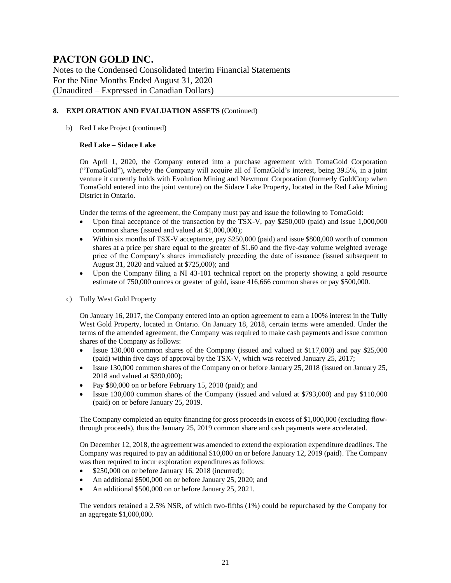Notes to the Condensed Consolidated Interim Financial Statements For the Nine Months Ended August 31, 2020 (Unaudited – Expressed in Canadian Dollars)

### **8. EXPLORATION AND EVALUATION ASSETS** (Continued)

b) Red Lake Project (continued)

#### **Red Lake – Sidace Lake**

On April 1, 2020, the Company entered into a purchase agreement with TomaGold Corporation ("TomaGold"), whereby the Company will acquire all of TomaGold's interest, being 39.5%, in a joint venture it currently holds with Evolution Mining and Newmont Corporation (formerly GoldCorp when TomaGold entered into the joint venture) on the Sidace Lake Property, located in the Red Lake Mining District in Ontario.

Under the terms of the agreement, the Company must pay and issue the following to TomaGold:

- Upon final acceptance of the transaction by the TSX-V, pay \$250,000 (paid) and issue 1,000,000 common shares (issued and valued at \$1,000,000);
- Within six months of TSX-V acceptance, pay \$250,000 (paid) and issue \$800,000 worth of common shares at a price per share equal to the greater of \$1.60 and the five-day volume weighted average price of the Company's shares immediately preceding the date of issuance (issued subsequent to August 31, 2020 and valued at \$725,000); and
- Upon the Company filing a NI 43-101 technical report on the property showing a gold resource estimate of 750,000 ounces or greater of gold, issue 416,666 common shares or pay \$500,000.
- c) Tully West Gold Property

On January 16, 2017, the Company entered into an option agreement to earn a 100% interest in the Tully West Gold Property, located in Ontario. On January 18, 2018, certain terms were amended. Under the terms of the amended agreement, the Company was required to make cash payments and issue common shares of the Company as follows:

- Issue 130,000 common shares of the Company (issued and valued at \$117,000) and pay \$25,000 (paid) within five days of approval by the TSX-V, which was received January 25, 2017;
- Issue 130,000 common shares of the Company on or before January 25, 2018 (issued on January 25, 2018 and valued at \$390,000);
- Pay \$80,000 on or before February 15, 2018 (paid); and
- Issue 130,000 common shares of the Company (issued and valued at \$793,000) and pay \$110,000 (paid) on or before January 25, 2019.

The Company completed an equity financing for gross proceeds in excess of \$1,000,000 (excluding flowthrough proceeds), thus the January 25, 2019 common share and cash payments were accelerated.

On December 12, 2018, the agreement was amended to extend the exploration expenditure deadlines. The Company was required to pay an additional \$10,000 on or before January 12, 2019 (paid). The Company was then required to incur exploration expenditures as follows:

- \$250,000 on or before January 16, 2018 (incurred);
- An additional \$500,000 on or before January 25, 2020; and
- An additional \$500,000 on or before January 25, 2021.

The vendors retained a 2.5% NSR, of which two-fifths (1%) could be repurchased by the Company for an aggregate \$1,000,000.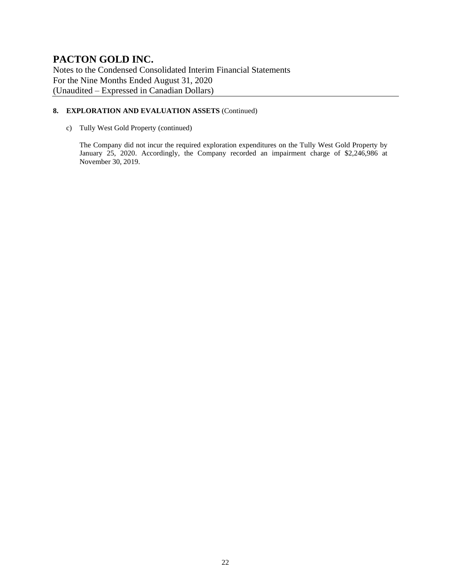Notes to the Condensed Consolidated Interim Financial Statements For the Nine Months Ended August 31, 2020 (Unaudited – Expressed in Canadian Dollars)

### **8. EXPLORATION AND EVALUATION ASSETS** (Continued)

c) Tully West Gold Property (continued)

The Company did not incur the required exploration expenditures on the Tully West Gold Property by January 25, 2020. Accordingly, the Company recorded an impairment charge of \$2,246,986 at November 30, 2019.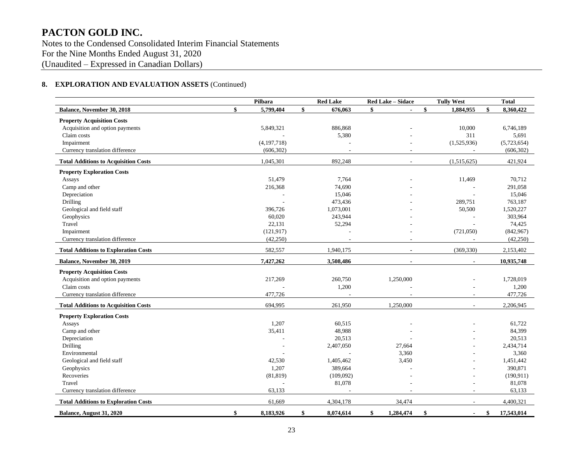Notes to the Condensed Consolidated Interim Financial Statements For the Nine Months Ended August 31, 2020 (Unaudited – Expressed in Canadian Dollars)

### **8. EXPLORATION AND EVALUATION ASSETS** (Continued)

|                                             | Pilbara         | <b>Red Lake</b> | Red Lake - Sidace        | <b>Tully West</b>    | <b>Total</b>     |
|---------------------------------------------|-----------------|-----------------|--------------------------|----------------------|------------------|
| Balance, November 30, 2018                  | \$<br>5,799,404 | \$<br>676,063   | \$                       | \$<br>1,884,955      | 8,360,422        |
| <b>Property Acquisition Costs</b>           |                 |                 |                          |                      |                  |
| Acquisition and option payments             | 5,849,321       | 886,868         |                          | 10,000               | 6,746,189        |
| Claim costs                                 |                 | 5,380           |                          | 311                  | 5,691            |
| Impairment                                  | (4, 197, 718)   |                 |                          | (1,525,936)          | (5,723,654)      |
| Currency translation difference             | (606, 302)      |                 |                          |                      | (606, 302)       |
| <b>Total Additions to Acquisition Costs</b> | 1,045,301       | 892,248         | $\sim$                   | (1,515,625)          | 421,924          |
| <b>Property Exploration Costs</b>           |                 |                 |                          |                      |                  |
| Assays                                      | 51,479          | 7,764           |                          | 11,469               | 70,712           |
| Camp and other                              | 216,368         | 74,690          |                          |                      | 291,058          |
| Depreciation                                |                 | 15,046          |                          |                      | 15,046           |
| <b>Drilling</b>                             |                 | 473,436         |                          | 289,751              | 763,187          |
| Geological and field staff                  | 396,726         | 1,073,001       |                          | 50,500               | 1,520,227        |
| Geophysics                                  | 60,020          | 243,944         |                          |                      | 303,964          |
| Travel                                      | 22,131          | 52,294          |                          |                      | 74,425           |
| Impairment                                  | (121, 917)      |                 |                          | (721,050)            | (842,967)        |
| Currency translation difference             | (42,250)        |                 |                          | $\overline{a}$       | (42,250)         |
| <b>Total Additions to Exploration Costs</b> | 582,557         | 1,940,175       | $\overline{\phantom{a}}$ | (369, 330)           | 2,153,402        |
| Balance, November 30, 2019                  | 7,427,262       | 3,508,486       | $\blacksquare$           | $\blacksquare$       | 10,935,748       |
| <b>Property Acquisition Costs</b>           |                 |                 |                          |                      |                  |
| Acquisition and option payments             | 217,269         | 260,750         | 1,250,000                |                      | 1,728,019        |
| Claim costs                                 |                 | 1,200           |                          |                      | 1,200            |
| Currency translation difference             | 477,726         |                 |                          | ÷,                   | 477,726          |
| <b>Total Additions to Acquisition Costs</b> | 694.995         | 261.950         | 1.250,000                | $\sim$               | 2,206,945        |
| <b>Property Exploration Costs</b>           |                 |                 |                          |                      |                  |
| Assays                                      | 1,207           | 60,515          |                          |                      | 61,722           |
| Camp and other                              | 35,411          | 48,988          |                          |                      | 84,399           |
| Depreciation                                |                 | 20,513          |                          |                      | 20,513           |
| Drilling                                    |                 | 2,407,050       | 27,664                   |                      | 2,434,714        |
| Environmental                               |                 |                 | 3,360                    |                      | 3,360            |
| Geological and field staff                  | 42,530          | 1,405,462       | 3,450                    |                      | 1,451,442        |
| Geophysics                                  | 1,207           | 389,664         |                          |                      | 390,871          |
| Recoveries                                  | (81, 819)       | (109,092)       |                          |                      | (190, 911)       |
| Travel                                      |                 | 81,078          |                          |                      | 81,078           |
| Currency translation difference             | 63,133          |                 |                          |                      | 63,133           |
| <b>Total Additions to Exploration Costs</b> | 61,669          | 4,304,178       | 34,474                   | $\sim$               | 4,400,321        |
| Balance, August 31, 2020                    | \$<br>8,183,926 | \$<br>8,074,614 | \$<br>1,284,474          | \$<br>$\blacksquare$ | \$<br>17,543,014 |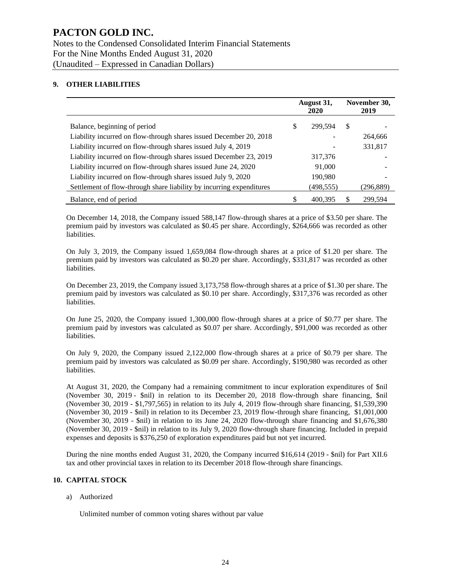### **9. OTHER LIABILITIES**

|                                                                      | August 31,<br>2020 |               | November 30,<br>2019 |
|----------------------------------------------------------------------|--------------------|---------------|----------------------|
| Balance, beginning of period                                         | \$<br>299.594      | <sup>\$</sup> |                      |
| Liability incurred on flow-through shares issued December 20, 2018   |                    |               | 264.666              |
| Liability incurred on flow-through shares issued July 4, 2019        |                    |               | 331,817              |
| Liability incurred on flow-through shares issued December 23, 2019   | 317,376            |               |                      |
| Liability incurred on flow-through shares issued June 24, 2020       | 91,000             |               |                      |
| Liability incurred on flow-through shares issued July 9, 2020        | 190,980            |               |                      |
| Settlement of flow-through share liability by incurring expenditures | (498,555)          |               | (296,889)            |
| Balance, end of period                                               | \$<br>400.395      | \$            | 299.594              |

On December 14, 2018, the Company issued 588,147 flow-through shares at a price of \$3.50 per share. The premium paid by investors was calculated as \$0.45 per share. Accordingly, \$264,666 was recorded as other liabilities.

On July 3, 2019, the Company issued 1,659,084 flow-through shares at a price of \$1.20 per share. The premium paid by investors was calculated as \$0.20 per share. Accordingly, \$331,817 was recorded as other liabilities.

On December 23, 2019, the Company issued 3,173,758 flow-through shares at a price of \$1.30 per share. The premium paid by investors was calculated as \$0.10 per share. Accordingly, \$317,376 was recorded as other liabilities.

On June 25, 2020, the Company issued 1,300,000 flow-through shares at a price of \$0.77 per share. The premium paid by investors was calculated as \$0.07 per share. Accordingly, \$91,000 was recorded as other liabilities.

On July 9, 2020, the Company issued 2,122,000 flow-through shares at a price of \$0.79 per share. The premium paid by investors was calculated as \$0.09 per share. Accordingly, \$190,980 was recorded as other liabilities.

At August 31, 2020, the Company had a remaining commitment to incur exploration expenditures of \$nil (November 30, 2019 - \$nil) in relation to its December 20, 2018 flow-through share financing, \$nil (November 30, 2019 - \$1,797,565) in relation to its July 4, 2019 flow-through share financing, \$1,539,390 (November 30, 2019 - \$nil) in relation to its December 23, 2019 flow-through share financing, \$1,001,000 (November 30, 2019 - \$nil) in relation to its June 24, 2020 flow-through share financing and \$1,676,380 (November 30, 2019 - \$nil) in relation to its July 9, 2020 flow-through share financing. Included in prepaid expenses and deposits is \$376,250 of exploration expenditures paid but not yet incurred.

During the nine months ended August 31, 2020, the Company incurred \$16,614 (2019 - \$nil) for Part XII.6 tax and other provincial taxes in relation to its December 2018 flow-through share financings.

#### **10. CAPITAL STOCK**

#### a) Authorized

Unlimited number of common voting shares without par value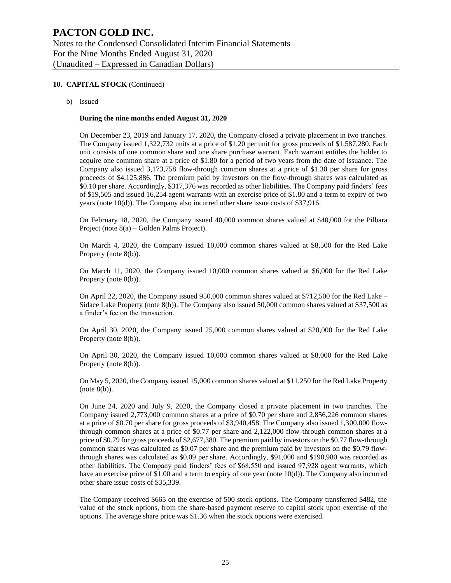#### **10. CAPITAL STOCK** (Continued)

b) Issued

#### **During the nine months ended August 31, 2020**

On December 23, 2019 and January 17, 2020, the Company closed a private placement in two tranches. The Company issued 1,322,732 units at a price of \$1.20 per unit for gross proceeds of \$1,587,280. Each unit consists of one common share and one share purchase warrant. Each warrant entitles the holder to acquire one common share at a price of \$1.80 for a period of two years from the date of issuance. The Company also issued 3,173,758 flow-through common shares at a price of \$1.30 per share for gross proceeds of \$4,125,886. The premium paid by investors on the flow-through shares was calculated as \$0.10 per share. Accordingly, \$317,376 was recorded as other liabilities. The Company paid finders' fees of \$19,505 and issued 16,254 agent warrants with an exercise price of \$1.80 and a term to expiry of two years (note 10(d)). The Company also incurred other share issue costs of \$37,916.

On February 18, 2020, the Company issued 40,000 common shares valued at \$40,000 for the Pilbara Project (note 8(a) – Golden Palms Project).

On March 4, 2020, the Company issued 10,000 common shares valued at \$8,500 for the Red Lake Property (note 8(b)).

On March 11, 2020, the Company issued 10,000 common shares valued at \$6,000 for the Red Lake Property (note 8(b)).

On April 22, 2020, the Company issued 950,000 common shares valued at \$712,500 for the Red Lake – Sidace Lake Property (note 8(b)). The Company also issued 50,000 common shares valued at \$37,500 as a finder's fee on the transaction.

On April 30, 2020, the Company issued 25,000 common shares valued at \$20,000 for the Red Lake Property (note 8(b)).

On April 30, 2020, the Company issued 10,000 common shares valued at \$8,000 for the Red Lake Property (note 8(b)).

On May 5, 2020, the Company issued 15,000 common shares valued at \$11,250 for the Red Lake Property (note 8(b)).

On June 24, 2020 and July 9, 2020, the Company closed a private placement in two tranches. The Company issued 2,773,000 common shares at a price of \$0.70 per share and 2,856,226 common shares at a price of \$0.70 per share for gross proceeds of \$3,940,458. The Company also issued 1,300,000 flowthrough common shares at a price of \$0.77 per share and 2,122,000 flow-through common shares at a price of \$0.79 for gross proceeds of \$2,677,380. The premium paid by investors on the \$0.77 flow-through common shares was calculated as \$0.07 per share and the premium paid by investors on the \$0.79 flowthrough shares was calculated as \$0.09 per share. Accordingly, \$91,000 and \$190,980 was recorded as other liabilities. The Company paid finders' fees of \$68,550 and issued 97,928 agent warrants, which have an exercise price of \$1.00 and a term to expiry of one year (note 10(d)). The Company also incurred other share issue costs of \$35,339.

The Company received \$665 on the exercise of 500 stock options. The Company transferred \$482, the value of the stock options, from the share-based payment reserve to capital stock upon exercise of the options. The average share price was \$1.36 when the stock options were exercised.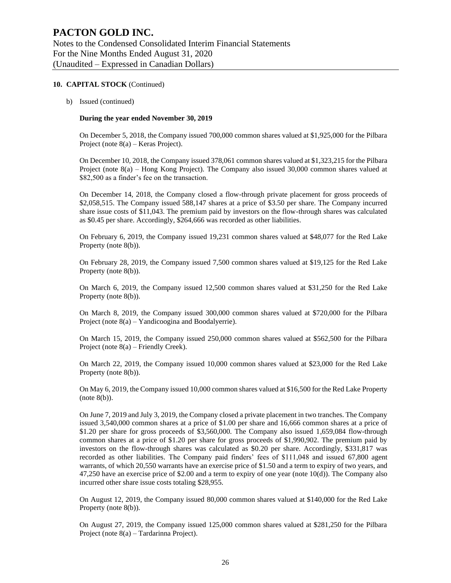#### **10. CAPITAL STOCK** (Continued)

b) Issued (continued)

#### **During the year ended November 30, 2019**

On December 5, 2018, the Company issued 700,000 common shares valued at \$1,925,000 for the Pilbara Project (note 8(a) – Keras Project).

On December 10, 2018, the Company issued 378,061 common shares valued at \$1,323,215 for the Pilbara Project (note 8(a) – Hong Kong Project). The Company also issued 30,000 common shares valued at \$82,500 as a finder's fee on the transaction.

On December 14, 2018, the Company closed a flow-through private placement for gross proceeds of \$2,058,515. The Company issued 588,147 shares at a price of \$3.50 per share. The Company incurred share issue costs of \$11,043. The premium paid by investors on the flow-through shares was calculated as \$0.45 per share. Accordingly, \$264,666 was recorded as other liabilities.

On February 6, 2019, the Company issued 19,231 common shares valued at \$48,077 for the Red Lake Property (note 8(b)).

On February 28, 2019, the Company issued 7,500 common shares valued at \$19,125 for the Red Lake Property (note 8(b)).

On March 6, 2019, the Company issued 12,500 common shares valued at \$31,250 for the Red Lake Property (note 8(b)).

On March 8, 2019, the Company issued 300,000 common shares valued at \$720,000 for the Pilbara Project (note 8(a) – Yandicoogina and Boodalyerrie).

On March 15, 2019, the Company issued 250,000 common shares valued at \$562,500 for the Pilbara Project (note 8(a) – Friendly Creek).

On March 22, 2019, the Company issued 10,000 common shares valued at \$23,000 for the Red Lake Property (note 8(b)).

On May 6, 2019, the Company issued 10,000 common shares valued at \$16,500 for the Red Lake Property  $(note 8(b)).$ 

On June 7, 2019 and July 3, 2019, the Company closed a private placement in two tranches. The Company issued 3,540,000 common shares at a price of \$1.00 per share and 16,666 common shares at a price of \$1.20 per share for gross proceeds of \$3,560,000. The Company also issued 1,659,084 flow-through common shares at a price of \$1.20 per share for gross proceeds of \$1,990,902. The premium paid by investors on the flow-through shares was calculated as \$0.20 per share. Accordingly, \$331,817 was recorded as other liabilities. The Company paid finders' fees of \$111,048 and issued 67,800 agent warrants, of which 20,550 warrants have an exercise price of \$1.50 and a term to expiry of two years, and 47,250 have an exercise price of \$2.00 and a term to expiry of one year (note 10(d)). The Company also incurred other share issue costs totaling \$28,955.

On August 12, 2019, the Company issued 80,000 common shares valued at \$140,000 for the Red Lake Property (note 8(b)).

On August 27, 2019, the Company issued 125,000 common shares valued at \$281,250 for the Pilbara Project (note 8(a) – Tardarinna Project).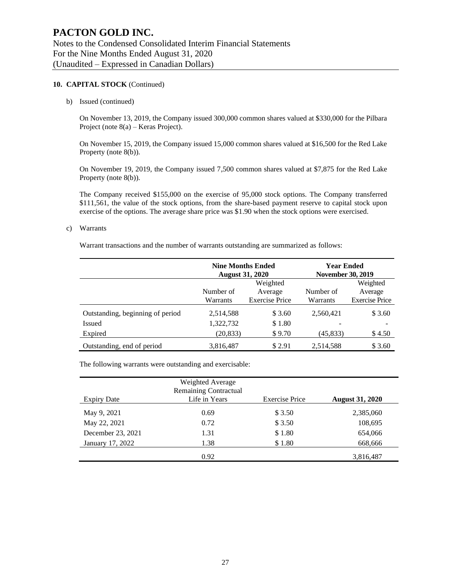#### **10. CAPITAL STOCK** (Continued)

#### b) Issued (continued)

On November 13, 2019, the Company issued 300,000 common shares valued at \$330,000 for the Pilbara Project (note 8(a) – Keras Project).

On November 15, 2019, the Company issued 15,000 common shares valued at \$16,500 for the Red Lake Property (note 8(b)).

On November 19, 2019, the Company issued 7,500 common shares valued at \$7,875 for the Red Lake Property (note 8(b)).

The Company received \$155,000 on the exercise of 95,000 stock options. The Company transferred \$111,561, the value of the stock options, from the share-based payment reserve to capital stock upon exercise of the options. The average share price was \$1.90 when the stock options were exercised.

#### c) Warrants

Warrant transactions and the number of warrants outstanding are summarized as follows:

|                                  | <b>Nine Months Ended</b><br><b>August 31, 2020</b> |                       | <b>Year Ended</b><br><b>November 30, 2019</b> |                       |
|----------------------------------|----------------------------------------------------|-----------------------|-----------------------------------------------|-----------------------|
|                                  |                                                    | Weighted              |                                               | Weighted              |
|                                  | Number of<br>Average                               |                       |                                               |                       |
|                                  | Warrants                                           | <b>Exercise Price</b> | Warrants                                      | <b>Exercise Price</b> |
| Outstanding, beginning of period | 2,514,588                                          | \$3.60                | 2,560,421                                     | \$3.60                |
| Issued                           | 1,322,732                                          | \$1.80                |                                               |                       |
| Expired                          | (20, 833)                                          | \$9.70                | (45, 833)                                     | \$4.50                |
| Outstanding, end of period       | 3,816,487                                          | \$2.91                | 2,514,588                                     | \$3.60                |

The following warrants were outstanding and exercisable:

|                    | Weighted Average<br>Remaining Contractual |                       |                        |
|--------------------|-------------------------------------------|-----------------------|------------------------|
| <b>Expiry Date</b> | Life in Years                             | <b>Exercise Price</b> | <b>August 31, 2020</b> |
| May 9, 2021        | 0.69                                      | \$3.50                | 2,385,060              |
| May 22, 2021       | 0.72                                      | \$3.50                | 108,695                |
| December 23, 2021  | 1.31                                      | \$1.80                | 654,066                |
| January 17, 2022   | 1.38                                      | \$1.80                | 668,666                |
|                    | 0.92                                      |                       | 3,816,487              |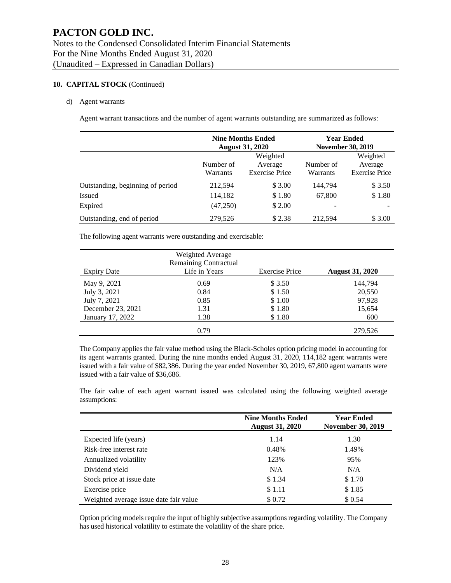### **10. CAPITAL STOCK** (Continued)

#### d) Agent warrants

Agent warrant transactions and the number of agent warrants outstanding are summarized as follows:

|                                  |                                   | <b>Nine Months Ended</b><br><b>August 31, 2020</b> |           | <b>Year Ended</b><br><b>November 30, 2019</b> |  |
|----------------------------------|-----------------------------------|----------------------------------------------------|-----------|-----------------------------------------------|--|
|                                  |                                   | Weighted                                           |           | Weighted                                      |  |
|                                  | Number of                         | Average                                            | Number of | Average                                       |  |
|                                  | <b>Exercise Price</b><br>Warrants |                                                    | Warrants  | <b>Exercise Price</b>                         |  |
| Outstanding, beginning of period | 212,594                           | \$3.00                                             | 144.794   | \$3.50                                        |  |
| Issued                           | 114,182                           | \$1.80                                             | 67,800    | \$1.80                                        |  |
| Expired                          | (47,250)                          | \$2.00                                             |           |                                               |  |
| Outstanding, end of period       | 279,526                           | \$2.38                                             | 212.594   | \$3.00                                        |  |

The following agent warrants were outstanding and exercisable:

|                    | Weighted Average<br><b>Remaining Contractual</b> |                       |                        |
|--------------------|--------------------------------------------------|-----------------------|------------------------|
| <b>Expiry Date</b> | Life in Years                                    | <b>Exercise Price</b> | <b>August 31, 2020</b> |
| May 9, 2021        | 0.69                                             | \$3.50                | 144,794                |
| July 3, 2021       | 0.84                                             | \$1.50                | 20,550                 |
| July 7, 2021       | 0.85                                             | \$1.00                | 97,928                 |
| December 23, 2021  | 1.31                                             | \$1.80                | 15,654                 |
| January 17, 2022   | 1.38                                             | \$1.80                | 600                    |
|                    | 0.79                                             |                       | 279.526                |

The Company applies the fair value method using the Black-Scholes option pricing model in accounting for its agent warrants granted. During the nine months ended August 31, 2020, 114,182 agent warrants were issued with a fair value of \$82,386. During the year ended November 30, 2019, 67,800 agent warrants were issued with a fair value of \$36,686.

The fair value of each agent warrant issued was calculated using the following weighted average assumptions:

|                                        | <b>Nine Months Ended</b><br><b>August 31, 2020</b> |        |  |
|----------------------------------------|----------------------------------------------------|--------|--|
| Expected life (years)                  | 1.14                                               | 1.30   |  |
| Risk-free interest rate                | 0.48%                                              | 1.49%  |  |
| Annualized volatility                  | 123%                                               | 95%    |  |
| Dividend yield                         | N/A                                                | N/A    |  |
| Stock price at issue date              | \$1.34                                             | \$1.70 |  |
| Exercise price                         | \$1.11                                             | \$1.85 |  |
| Weighted average issue date fair value | \$0.72                                             | \$0.54 |  |

Option pricing models require the input of highly subjective assumptions regarding volatility. The Company has used historical volatility to estimate the volatility of the share price.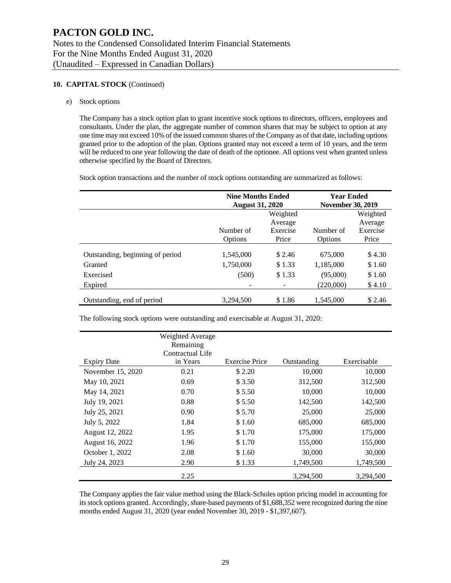#### **10. CAPITAL STOCK** (Continued)

e) Stock options

The Company has a stock option plan to grant incentive stock options to directors, officers, employees and consultants. Under the plan, the aggregate number of common shares that may be subject to option at any one time may not exceed 10% of the issued common shares of the Company as of that date, including options granted prior to the adoption of the plan. Options granted may not exceed a term of 10 years, and the term will be reduced to one year following the date of death of the optionee. All options vest when granted unless otherwise specified by the Board of Directors.

Stock option transactions and the number of stock options outstanding are summarized as follows:

|                                  | <b>Nine Months Ended</b><br><b>August 31, 2020</b> |          | <b>Year Ended</b><br><b>November 30, 2019</b> |          |  |
|----------------------------------|----------------------------------------------------|----------|-----------------------------------------------|----------|--|
|                                  |                                                    | Weighted |                                               | Weighted |  |
|                                  |                                                    |          | Average                                       |          |  |
|                                  | Number of                                          | Exercise | Number of                                     | Exercise |  |
|                                  | Price<br><b>Options</b>                            |          | Options                                       | Price    |  |
| Outstanding, beginning of period | 1,545,000                                          | \$2.46   | 675,000                                       | \$4.30   |  |
| Granted                          | 1,750,000                                          | \$1.33   | 1,185,000                                     | \$1.60   |  |
| Exercised                        | (500)                                              | \$1.33   | (95,000)                                      | \$1.60   |  |
| Expired                          |                                                    |          | (220,000)                                     | \$4.10   |  |
| Outstanding, end of period       | 3,294,500                                          | \$1.86   | 1,545,000                                     | \$2.46   |  |

The following stock options were outstanding and exercisable at August 31, 2020:

|                    | Weighted Average |                       |             |             |
|--------------------|------------------|-----------------------|-------------|-------------|
|                    | Remaining        |                       |             |             |
|                    | Contractual Life |                       |             |             |
| <b>Expiry Date</b> | in Years         | <b>Exercise Price</b> | Outstanding | Exercisable |
| November 15, 2020  | 0.21             | \$2.20                | 10,000      | 10,000      |
| May 10, 2021       | 0.69             | \$3.50                | 312,500     | 312,500     |
| May 14, 2021       | 0.70             | \$5.50                | 10,000      | 10,000      |
| July 19, 2021      | 0.88             | \$5.50                | 142,500     | 142,500     |
| July 25, 2021      | 0.90             | \$5.70                | 25,000      | 25,000      |
| July 5, 2022       | 1.84             | \$1.60                | 685,000     | 685,000     |
| August 12, 2022    | 1.95             | \$1.70                | 175,000     | 175,000     |
| August 16, 2022    | 1.96             | \$1.70                | 155,000     | 155,000     |
| October 1, 2022    | 2.08             | \$1.60                | 30,000      | 30,000      |
| July 24, 2023      | 2.90             | \$1.33                | 1,749,500   | 1,749,500   |
|                    | 2.25             |                       | 3,294,500   | 3,294,500   |

The Company applies the fair value method using the Black-Scholes option pricing model in accounting for its stock options granted. Accordingly, share-based payments of \$1,688,352 were recognized during the nine months ended August 31, 2020 (year ended November 30, 2019 - \$1,397,607).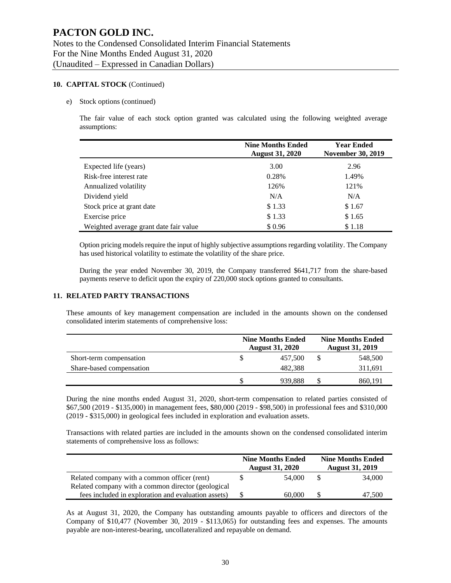#### **10. CAPITAL STOCK** (Continued)

#### e) Stock options (continued)

The fair value of each stock option granted was calculated using the following weighted average assumptions:

|                                        | <b>Nine Months Ended</b><br><b>August 31, 2020</b> | <b>Year Ended</b><br><b>November 30, 2019</b> |
|----------------------------------------|----------------------------------------------------|-----------------------------------------------|
| Expected life (years)                  | 3.00                                               | 2.96                                          |
| Risk-free interest rate                | 0.28%                                              | 1.49%                                         |
| Annualized volatility                  | 126%                                               | 121%                                          |
| Dividend yield                         | N/A                                                | N/A                                           |
| Stock price at grant date              | \$1.33                                             | \$1.67                                        |
| Exercise price                         | \$1.33                                             | \$1.65                                        |
| Weighted average grant date fair value | \$0.96                                             | \$1.18                                        |

Option pricing models require the input of highly subjective assumptions regarding volatility. The Company has used historical volatility to estimate the volatility of the share price.

During the year ended November 30, 2019, the Company transferred \$641,717 from the share-based payments reserve to deficit upon the expiry of 220,000 stock options granted to consultants.

#### **11. RELATED PARTY TRANSACTIONS**

These amounts of key management compensation are included in the amounts shown on the condensed consolidated interim statements of comprehensive loss:

|                          | <b>Nine Months Ended</b><br><b>August 31, 2020</b> |         |   | <b>Nine Months Ended</b><br><b>August 31, 2019</b> |
|--------------------------|----------------------------------------------------|---------|---|----------------------------------------------------|
| Short-term compensation  |                                                    | 457.500 |   | 548,500                                            |
| Share-based compensation |                                                    | 482.388 |   | 311.691                                            |
|                          |                                                    | 939.888 | S | 860,191                                            |

During the nine months ended August 31, 2020, short-term compensation to related parties consisted of \$67,500 (2019 - \$135,000) in management fees, \$80,000 (2019 - \$98,500) in professional fees and \$310,000 (2019 - \$315,000) in geological fees included in exploration and evaluation assets.

Transactions with related parties are included in the amounts shown on the condensed consolidated interim statements of comprehensive loss as follows:

|                                                     | <b>Nine Months Ended</b><br><b>August 31, 2020</b> | <b>Nine Months Ended</b><br><b>August 31, 2019</b> |        |  |
|-----------------------------------------------------|----------------------------------------------------|----------------------------------------------------|--------|--|
| Related company with a common officer (rent)        | 54,000                                             | \$.                                                | 34,000 |  |
| Related company with a common director (geological  |                                                    |                                                    |        |  |
| fees included in exploration and evaluation assets) | 60,000                                             |                                                    | 47,500 |  |

As at August 31, 2020, the Company has outstanding amounts payable to officers and directors of the Company of \$10,477 (November 30, 2019 - \$113,065) for outstanding fees and expenses. The amounts payable are non-interest-bearing, uncollateralized and repayable on demand.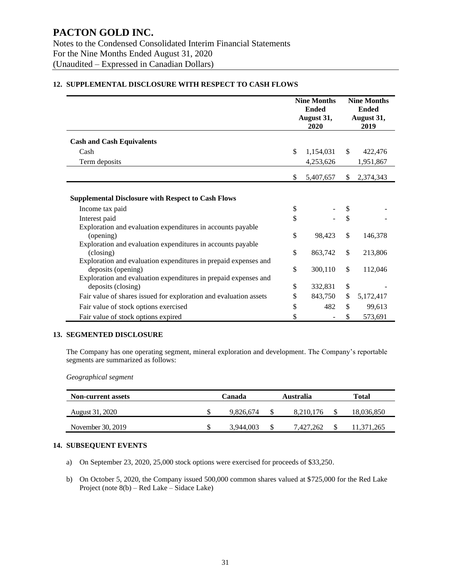|                                                                                                                                                          | <b>Nine Months</b><br><b>Ended</b><br>August 31,<br>2020 |           |              | <b>Nine Months</b><br><b>Ended</b><br>August 31,<br>2019 |  |
|----------------------------------------------------------------------------------------------------------------------------------------------------------|----------------------------------------------------------|-----------|--------------|----------------------------------------------------------|--|
| <b>Cash and Cash Equivalents</b>                                                                                                                         |                                                          |           |              |                                                          |  |
| Cash                                                                                                                                                     | \$                                                       | 1,154,031 | \$           | 422,476                                                  |  |
| Term deposits                                                                                                                                            |                                                          | 4,253,626 |              | 1,951,867                                                |  |
|                                                                                                                                                          | \$                                                       | 5,407,657 | \$           | 2,374,343                                                |  |
| <b>Supplemental Disclosure with Respect to Cash Flows</b><br>Income tax paid                                                                             | \$                                                       |           | \$           |                                                          |  |
| Interest paid                                                                                                                                            | \$                                                       |           | \$           |                                                          |  |
| Exploration and evaluation expenditures in accounts payable<br>(opening)<br>Exploration and evaluation expenditures in accounts payable                  | \$                                                       | 98,423    | \$           | 146,378                                                  |  |
| (closing)                                                                                                                                                | \$                                                       | 863,742   | $\mathbb{S}$ | 213,806                                                  |  |
| Exploration and evaluation expenditures in prepaid expenses and<br>deposits (opening)<br>Exploration and evaluation expenditures in prepaid expenses and | \$                                                       | 300,110   | \$           | 112,046                                                  |  |
| deposits (closing)                                                                                                                                       | \$                                                       | 332,831   | \$           |                                                          |  |
| Fair value of shares issued for exploration and evaluation assets                                                                                        | \$                                                       | 843,750   | \$           | 5,172,417                                                |  |
| Fair value of stock options exercised                                                                                                                    | \$                                                       | 482       | \$           | 99,613                                                   |  |
| Fair value of stock options expired                                                                                                                      | \$                                                       |           | \$           | 573,691                                                  |  |

### **12. SUPPLEMENTAL DISCLOSURE WITH RESPECT TO CASH FLOWS**

#### **13. SEGMENTED DISCLOSURE**

The Company has one operating segment, mineral exploration and development. The Company's reportable segments are summarized as follows:

*Geographical segment*

| <b>Non-current assets</b> | Canada |           | Australia |           | Total |            |
|---------------------------|--------|-----------|-----------|-----------|-------|------------|
| August 31, 2020           |        | 9.826.674 |           | 8.210.176 |       | 18,036,850 |
| November 30, 2019         | S      | 3.944,003 |           | 7.427.262 |       | 11.371.265 |

### **14. SUBSEQUENT EVENTS**

- a) On September 23, 2020, 25,000 stock options were exercised for proceeds of \$33,250.
- b) On October 5, 2020, the Company issued 500,000 common shares valued at \$725,000 for the Red Lake Project (note 8(b) – Red Lake – Sidace Lake)